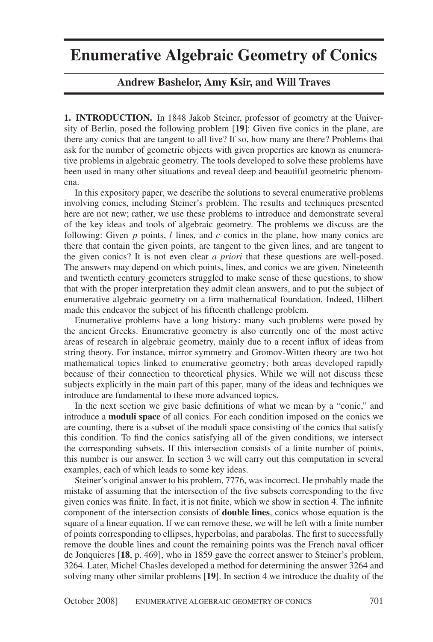# **Enumerative Algebraic Geometry of Conics**

## **Andrew Bashelor, Amy Ksir, and Will Traves**

**1. INTRODUCTION.** In 1848 Jakob Steiner, professor of geometry at the University of Berlin, posed the following problem [19]: Given five conics in the plane, are there any conics that are tangent to all five? If so, how many are there? Problems that ask for the number of geometric objects with given properties are known as enumerative problems in algebraic geometry. The tools developed to solve these problems have been used in many other situations and reveal deep and beautiful geometric phenomena.

In this expository paper, we describe the solutions to several enumerative problems involving conics, including Steiner's problem. The results and techniques presented here are not new; rather, we use these problems to introduce and demonstrate several of the key ideas and tools of algebraic geometry. The problems we discuss are the following: Given  $p$  points,  $l$  lines, and  $c$  conics in the plane, how many conics are there that contain the given points, are tangent to the given lines, and are tangent to the given conics? It is not even clear *a priori* that these questions are well-posed. The answers may depend on which points, lines, and conics we are given. Nineteenth and twentieth century geometers struggled to make sense of these questions, to show that with the proper interpretation they admit clean answers, and to put the subject of enumerative algebraic geometry on a firm mathematical foundation. Indeed, Hilbert made this endeavor the subject of his fifteenth challenge problem.

Enumerative problems have a long history: many such problems were posed by the ancient Greeks. Enumerative geometry is also currently one of the most active areas of research in algebraic geometry, mainly due to a recent influx of ideas from string theory. For instance, mirror symmetry and Gromov-Witten theory are two hot mathematical topics linked to enumerative geometry; both areas developed rapidly because of their connection to theoretical physics. While we will not discuss these subjects explicitly in the main part of this paper, many of the ideas and techniques we introduce are fundamental to these more advanced topics.

In the next section we give basic definitions of what we mean by a "conic," and introduce a **moduli space** of all conics. For each condition imposed on the conics we are counting, there is a subset of the moduli space consisting of the conics that satisfy this condition. To find the conics satisfying all of the given conditions, we intersect the corresponding subsets. If this intersection consists of a finite number of points, this number is our answer. In section 3 we will carry out this computation in several examples, each of which leads to some key ideas.

Steiner's original answer to his problem, 7776, was incorrect. He probably made the mistake of assuming that the intersection of the five subsets corresponding to the five given conics was finite. In fact, it is not finite, which we show in section 4. The infinite component of the intersection consists of **double lines**, conics whose equation is the square of a linear equation. If we can remove these, we will be left with a finite number of points corresponding to ellipses, hyperbolas, and parabolas. The first to successfully remove the double lines and count the remaining points was the French naval officer de Jonquieres [18, p. 469], who in 1859 gave the correct answer to Steiner's problem, 3264. Later, Michel Chasles developed a method for determining the answer 3264 and solving many other similar problems [19]. In section 4 we introduce the duality of the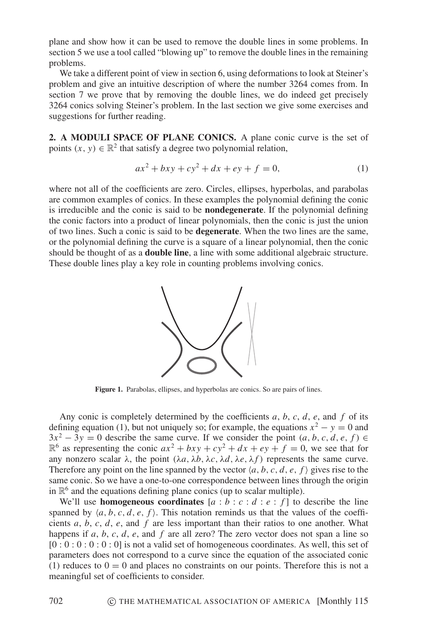plane and show how it can be used to remove the double lines in some problems. In section 5 we use a tool called "blowing up" to remove the double lines in the remaining problems.

We take a different point of view in section 6, using deformations to look at Steiner's problem and give an intuitive description of where the number 3264 comes from. In section 7 we prove that by removing the double lines, we do indeed get precisely 3264 conics solving Steiner's problem. In the last section we give some exercises and suggestions for further reading.

2. A MODULI SPACE OF PLANE CONICS. A plane conic curve is the set of points  $(x, y) \in \mathbb{R}^2$  that satisfy a degree two polynomial relation,

$$
ax2 + bxy + cy2 + dx + ey + f = 0,
$$
 (1)

where not all of the coefficients are zero. Circles, ellipses, hyperbolas, and parabolas are common examples of conics. In these examples the polynomial defining the conic is irreducible and the conic is said to be **nondegenerate**. If the polynomial defining the conic factors into a product of linear polynomials, then the conic is just the union of two lines. Such a conic is said to be **degenerate**. When the two lines are the same, or the polynomial defining the curve is a square of a linear polynomial, then the conic should be thought of as a **double line**, a line with some additional algebraic structure. These double lines play a key role in counting problems involving conics.



Figure 1. Parabolas, ellipses, and hyperbolas are conics. So are pairs of lines.

Any conic is completely determined by the coefficients  $a, b, c, d, e$ , and  $f$  of its defining equation (1), but not uniquely so; for example, the equations  $x^2 - y = 0$  and  $3x^2 - 3y = 0$  describe the same curve. If we consider the point  $(a, b, c, d, e, f) \in$  $\mathbb{R}^6$  as representing the conic  $ax^2 + bxy + cy^2 + dx + ey + f = 0$ , we see that for any nonzero scalar  $\lambda$ , the point  $(\lambda a, \lambda b, \lambda c, \lambda d, \lambda e, \lambda f)$  represents the same curve. Therefore any point on the line spanned by the vector  $\langle a, b, c, d, e, f \rangle$  gives rise to the same conic. So we have a one-to-one correspondence between lines through the origin in  $\mathbb{R}^6$  and the equations defining plane conics (up to scalar multiple).

We'll use **homogeneous coordinates** [a : b : c : d : e : f] to describe the line spanned by  $(a, b, c, d, e, f)$ . This notation reminds us that the values of the coefficients  $a, b, c, d, e$ , and  $f$  are less important than their ratios to one another. What happens if  $a, b, c, d, e$ , and f are all zero? The zero vector does not span a line so  $[0:0:0:0:0:0]$  is not a valid set of homogeneous coordinates. As well, this set of parameters does not correspond to a curve since the equation of the associated conic (1) reduces to  $0 = 0$  and places no constraints on our points. Therefore this is not a meaningful set of coefficients to consider.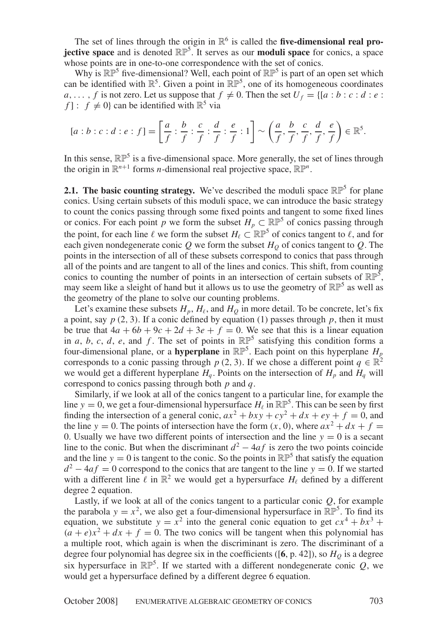The set of lines through the origin in  $\mathbb{R}^6$  is called the five-dimensional real pro**iective space** and is denoted  $\mathbb{RP}^5$ . It serves as our **moduli space** for conics, a space whose points are in one-to-one correspondence with the set of conics.

Why is  $\mathbb{RP}^5$  five-dimensional? Well, each point of  $\mathbb{RP}^5$  is part of an open set which can be identified with  $\mathbb{R}^5$ . Given a point in  $\mathbb{RP}^5$ , one of its homogeneous coordinates  $a, \ldots, f$  is not zero. Let us suppose that  $f \neq 0$ . Then the set  $U_f = \{ [a : b : c : d : e : f \}$ f :  $f \neq 0$  can be identified with  $\mathbb{R}^5$  via

$$
[a:b:c:d:e:f] = \left[\frac{a}{f}:\frac{b}{f}:\frac{c}{f}:\frac{d}{f}:\frac{e}{f}:1\right] \sim \left(\frac{a}{f},\frac{b}{f},\frac{c}{f},\frac{d}{f},\frac{e}{f}\right) \in \mathbb{R}^5.
$$

In this sense,  $\mathbb{RP}^5$  is a five-dimensional space. More generally, the set of lines through the origin in  $\mathbb{R}^{n+1}$  forms *n*-dimensional real projective space,  $\mathbb{R}^n$ .

2.1. The basic counting strategy. We've described the moduli space  $\mathbb{RP}^5$  for plane conics. Using certain subsets of this moduli space, we can introduce the basic strategy to count the conics passing through some fixed points and tangent to some fixed lines or conics. For each point p we form the subset  $H_p \subset \mathbb{RP}^5$  of conics passing through the point, for each line  $\ell$  we form the subset  $H_{\ell} \subset \mathbb{RP}^5$  of conics tangent to  $\ell$ , and for each given nondegenerate conic Q we form the subset  $H<sub>Q</sub>$  of conics tangent to Q. The points in the intersection of all of these subsets correspond to conics that pass through all of the points and are tangent to all of the lines and conics. This shift, from counting conics to counting the number of points in an intersection of certain subsets of  $\mathbb{RP}^5$ , may seem like a sleight of hand but it allows us to use the geometry of  $\mathbb{RP}^5$  as well as the geometry of the plane to solve our counting problems.

Let's examine these subsets  $H_p$ ,  $H_\ell$ , and  $H_Q$  in more detail. To be concrete, let's fix a point, say  $p(2, 3)$ . If a conic defined by equation (1) passes through p, then it must be true that  $4a + 6b + 9c + 2d + 3e + f = 0$ . We see that this is a linear equation in a, b, c, d, e, and f. The set of points in  $\mathbb{RP}^5$  satisfying this condition forms a four-dimensional plane, or a **hyperplane** in  $\mathbb{RP}^5$ . Each point on this hyperplane  $H_p$ corresponds to a conic passing through p (2, 3). If we chose a different point  $q \in \mathbb{R}^2$ we would get a different hyperplane  $H_q$ . Points on the intersection of  $H_p$  and  $H_q$  will correspond to conics passing through both  $p$  and  $q$ .

Similarly, if we look at all of the conics tangent to a particular line, for example the line y = 0, we get a four-dimensional hypersurface  $H_{\ell}$  in  $\mathbb{RP}^5$ . This can be seen by first finding the intersection of a general conic,  $ax^2 + bxy + cy^2 + dx + ey + f = 0$ , and the line y = 0. The points of intersection have the form  $(x, 0)$ , where  $ax^2 + dx + f =$ 0. Usually we have two different points of intersection and the line  $y = 0$  is a secant line to the conic. But when the discriminant  $d^2 - 4af$  is zero the two points coincide and the line  $y = 0$  is tangent to the conic. So the points in  $\mathbb{RP}^5$  that satisfy the equation  $d^2 - 4af = 0$  correspond to the conics that are tangent to the line  $y = 0$ . If we started with a different line  $\ell$  in  $\mathbb{R}^2$  we would get a hypersurface  $H_\ell$  defined by a different degree 2 equation.

Lastly, if we look at all of the conics tangent to a particular conic  $Q$ , for example the parabola  $y = x^2$ , we also get a four-dimensional hypersurface in  $\mathbb{RP}^5$ . To find its equation, we substitute  $y = x^2$  into the general conic equation to get  $cx^4 + bx^3 +$  $(a + e)x^{2} + dx + f = 0$ . The two conics will be tangent when this polynomial has a multiple root, which again is when the discriminant is zero. The discriminant of a degree four polynomial has degree six in the coefficients ([6, p. 42]), so  $H_0$  is a degree six hypersurface in  $\mathbb{RP}^5$ . If we started with a different nondegenerate conic Q, we would get a hypersurface defined by a different degree 6 equation.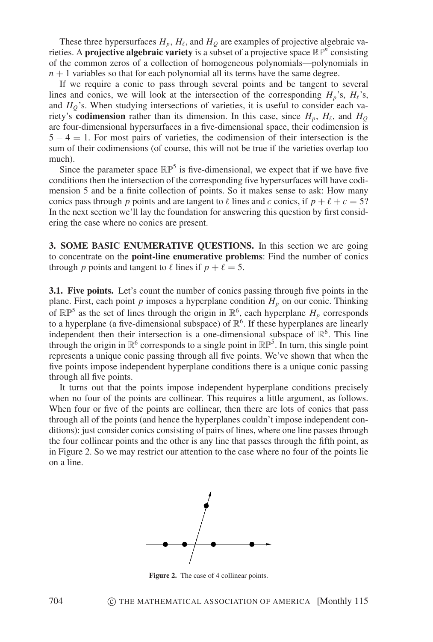These three hypersurfaces  $H_p$ ,  $H_\ell$ , and  $H_Q$  are examples of projective algebraic varieties. A projective algebraic variety is a subset of a projective space  $\mathbb{RP}^n$  consisting of the common zeros of a collection of homogeneous polynomials—polynomials in  $n + 1$  variables so that for each polynomial all its terms have the same degree.

If we require a conic to pass through several points and be tangent to several lines and conics, we will look at the intersection of the corresponding  $H_n$ 's,  $H_\ell$ 's, and  $H_0$ 's. When studying intersections of varieties, it is useful to consider each variety's **codimension** rather than its dimension. In this case, since  $H_n$ ,  $H_\ell$ , and  $H_0$ are four-dimensional hypersurfaces in a five-dimensional space, their codimension is  $5 - 4 = 1$ . For most pairs of varieties, the codimension of their intersection is the sum of their codimensions (of course, this will not be true if the varieties overlap too much).

Since the parameter space  $\mathbb{RP}^5$  is five-dimensional, we expect that if we have five conditions then the intersection of the corresponding five hypersurfaces will have codimension 5 and be a finite collection of points. So it makes sense to ask: How many conics pass through p points and are tangent to  $\ell$  lines and c conics, if  $p + \ell + c = 5$ ? In the next section we'll lay the foundation for answering this question by first considering the case where no conics are present.

3. SOME BASIC ENUMERATIVE QUESTIONS. In this section we are going to concentrate on the point-line enumerative problems: Find the number of conics through p points and tangent to  $\ell$  lines if  $p + \ell = 5$ .

**3.1. Five points.** Let's count the number of conics passing through five points in the plane. First, each point  $p$  imposes a hyperplane condition  $H_p$  on our conic. Thinking of  $\mathbb{RP}^5$  as the set of lines through the origin in  $\mathbb{R}^6$ , each hyperplane  $H_p$  corresponds to a hyperplane (a five-dimensional subspace) of  $\mathbb{R}^6$ . If these hyperplanes are linearly independent then their intersection is a one-dimensional subspace of  $\mathbb{R}^6$ . This line through the origin in  $\mathbb{R}^6$  corresponds to a single point in  $\mathbb{RP}^5$ . In turn, this single point represents a unique conic passing through all five points. We've shown that when the five points impose independent hyperplane conditions there is a unique conic passing through all five points.

It turns out that the points impose independent hyperplane conditions precisely when no four of the points are collinear. This requires a little argument, as follows. When four or five of the points are collinear, then there are lots of conics that pass through all of the points (and hence the hyperplanes couldn't impose independent conditions): just consider conics consisting of pairs of lines, where one line passes through the four collinear points and the other is any line that passes through the fifth point, as in Figure 2. So we may restrict our attention to the case where no four of the points lie on a line.



Figure 2. The case of 4 collinear points.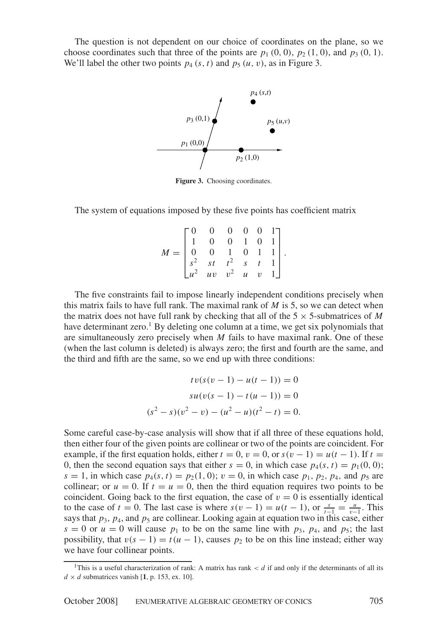The question is not dependent on our choice of coordinates on the plane, so we choose coordinates such that three of the points are  $p_1$  (0, 0),  $p_2$  (1, 0), and  $p_3$  (0, 1). We'll label the other two points  $p_4(s, t)$  and  $p_5(u, v)$ , as in Figure 3.



Figure 3. Choosing coordinates.

The system of equations imposed by these five points has coefficient matrix

$$
M = \begin{bmatrix} 0 & 0 & 0 & 0 & 0 & 1 \\ 1 & 0 & 0 & 1 & 0 & 1 \\ 0 & 0 & 1 & 0 & 1 & 1 \\ s^2 & st & t^2 & s & t & 1 \\ u^2 & uv & v^2 & u & v & 1 \end{bmatrix}.
$$

The five constraints fail to impose linearly independent conditions precisely when this matrix fails to have full rank. The maximal rank of  $M$  is 5, so we can detect when the matrix does not have full rank by checking that all of the  $5 \times 5$ -submatrices of M have determinant zero.<sup>1</sup> By deleting one column at a time, we get six polynomials that are simultaneously zero precisely when  $M$  fails to have maximal rank. One of these (when the last column is deleted) is always zero; the first and fourth are the same, and the third and fifth are the same, so we end up with three conditions:

$$
tv(s(v-1) - u(t-1)) = 0
$$

$$
su(v(s-1) - t(u-1)) = 0
$$

$$
(s2 - s)(v2 - v) - (u2 - u)(t2 - t) = 0.
$$

Some careful case-by-case analysis will show that if all three of these equations hold, then either four of the given points are collinear or two of the points are coincident. For example, if the first equation holds, either  $t = 0$ ,  $v = 0$ , or  $s(v - 1) = u(t - 1)$ . If  $t =$ 0, then the second equation says that either  $s = 0$ , in which case  $p_4(s, t) = p_1(0, 0)$ ;  $s = 1$ , in which case  $p_4(s, t) = p_2(1, 0)$ ;  $v = 0$ , in which case  $p_1, p_2, p_4$ , and  $p_5$  are collinear; or  $u = 0$ . If  $t = u = 0$ , then the third equation requires two points to be coincident. Going back to the first equation, the case of  $v = 0$  is essentially identical to the case of  $t = 0$ . The last case is where  $s(v - 1) = u(t - 1)$ , or  $\frac{s}{t-1} = \frac{u}{v-1}$ . This says that  $p_3$ ,  $p_4$ , and  $p_5$  are collinear. Looking again at equation two in this case, either  $s = 0$  or  $u = 0$  will cause  $p_1$  to be on the same line with  $p_3$ ,  $p_4$ , and  $p_5$ ; the last possibility, that  $v(s - 1) = t(u - 1)$ , causes  $p_2$  to be on this line instead; either way we have four collinear points.

<sup>&</sup>lt;sup>1</sup>This is a useful characterization of rank: A matrix has rank  $d$  if and only if the determinants of all its  $d \times d$  submatrices vanish [1, p. 153, ex. 10].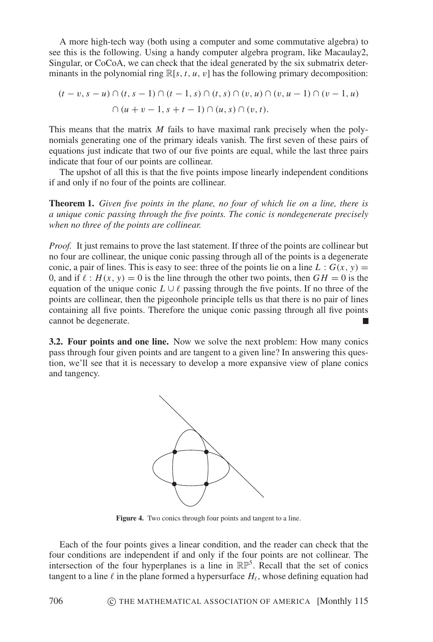A more high-tech way (both using a computer and some commutative algebra) to see this is the following. Using a handy computer algebra program, like Macaulay2, Singular, or CoCoA, we can check that the ideal generated by the six submatrix determinants in the polynomial ring  $\mathbb{R}[s, t, u, v]$  has the following primary decomposition:

$$
(t - v, s - u) \cap (t, s - 1) \cap (t - 1, s) \cap (t, s) \cap (v, u) \cap (v, u - 1) \cap (v - 1, u)
$$

$$
\cap (u + v - 1, s + t - 1) \cap (u, s) \cap (v, t).
$$

This means that the matrix  $M$  fails to have maximal rank precisely when the polynomials generating one of the primary ideals vanish. The first seven of these pairs of equations just indicate that two of our five points are equal, while the last three pairs indicate that four of our points are collinear.

The upshot of all this is that the five points impose linearly independent conditions if and only if no four of the points are collinear.

**Theorem 1.** Given five points in the plane, no four of which lie on a line, there is a unique conic passing through the five points. The conic is nondegenerate precisely when no three of the points are collinear.

Proof. It just remains to prove the last statement. If three of the points are collinear but no four are collinear, the unique conic passing through all of the points is a degenerate conic, a pair of lines. This is easy to see: three of the points lie on a line  $L : G(x, y) =$ 0, and if  $\ell : H(x, y) = 0$  is the line through the other two points, then  $GH = 0$  is the equation of the unique conic  $L \cup \ell$  passing through the five points. If no three of the points are collinear, then the pigeonhole principle tells us that there is no pair of lines containing all five points. Therefore the unique conic passing through all five points cannot be degenerate.

3.2. Four points and one line. Now we solve the next problem: How many conics pass through four given points and are tangent to a given line? In answering this question, we'll see that it is necessary to develop a more expansive view of plane conics and tangency.



Figure 4. Two conics through four points and tangent to a line.

Each of the four points gives a linear condition, and the reader can check that the four conditions are independent if and only if the four points are not collinear. The intersection of the four hyperplanes is a line in  $\mathbb{RP}^5$ . Recall that the set of conics tangent to a line  $\ell$  in the plane formed a hypersurface  $H_{\ell}$ , whose defining equation had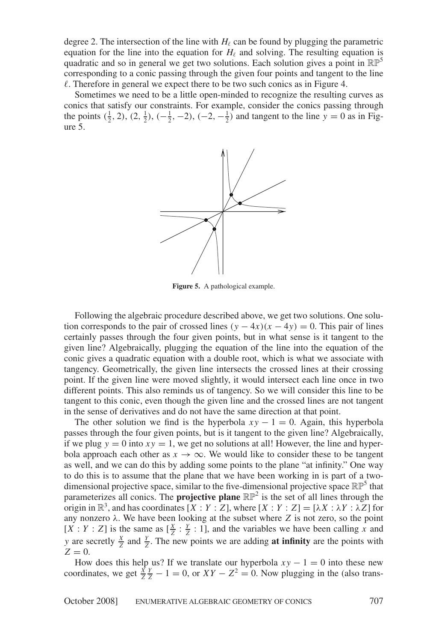degree 2. The intersection of the line with  $H_{\ell}$  can be found by plugging the parametric equation for the line into the equation for  $H_{\ell}$  and solving. The resulting equation is quadratic and so in general we get two solutions. Each solution gives a point in  $\mathbb{RP}^5$ corresponding to a conic passing through the given four points and tangent to the line  $\ell$ . Therefore in general we expect there to be two such conics as in Figure 4.

Sometimes we need to be a little open-minded to recognize the resulting curves as conics that satisfy our constraints. For example, consider the conics passing through the points  $(\frac{1}{2}, 2)$ ,  $(2, \frac{1}{2})$ ,  $(-\frac{1}{2}, -2)$ ,  $(-2, -\frac{1}{2})$  and tangent to the line  $y = 0$  as in Fig $ure 5.$ 



Figure 5. A pathological example.

Following the algebraic procedure described above, we get two solutions. One solution corresponds to the pair of crossed lines  $(y - 4x)(x - 4y) = 0$ . This pair of lines certainly passes through the four given points, but in what sense is it tangent to the given line? Algebraically, plugging the equation of the line into the equation of the conic gives a quadratic equation with a double root, which is what we associate with tangency. Geometrically, the given line intersects the crossed lines at their crossing point. If the given line were moved slightly, it would intersect each line once in two different points. This also reminds us of tangency. So we will consider this line to be tangent to this conic, even though the given line and the crossed lines are not tangent in the sense of derivatives and do not have the same direction at that point.

The other solution we find is the hyperbola  $xy - 1 = 0$ . Again, this hyperbola passes through the four given points, but is it tangent to the given line? Algebraically, if we plug  $y = 0$  into  $xy = 1$ , we get no solutions at all! However, the line and hyperbola approach each other as  $x \to \infty$ . We would like to consider these to be tangent as well, and we can do this by adding some points to the plane "at infinity." One way to do this is to assume that the plane that we have been working in is part of a twodimensional projective space, similar to the five-dimensional projective space  $\mathbb{RP}^5$  that parameterizes all conics. The **projective plane**  $\mathbb{RP}^2$  is the set of all lines through the origin in  $\mathbb{R}^3$ , and has coordinates  $[X:Y:\mathbb{Z}]$ , where  $[X:Y:Z] = [\lambda X: \lambda Y: \lambda Z]$  for any nonzero  $\lambda$ . We have been looking at the subset where Z is not zero, so the point  $[X:Y:Z]$  is the same as  $[\frac{X}{Z}:\frac{Y}{Z}:1]$ , and the variables we have been calling x and y are secretly  $\frac{x}{7}$  and  $\frac{y}{7}$ . The new points we are adding **at infinity** are the points with  $Z=0$ .

How does this help us? If we translate our hyperbola  $xy - 1 = 0$  into these new coordinates, we get  $\frac{X Y}{Z Z} - 1 = 0$ , or  $XY - Z^2 = 0$ . Now plugging in the (also trans-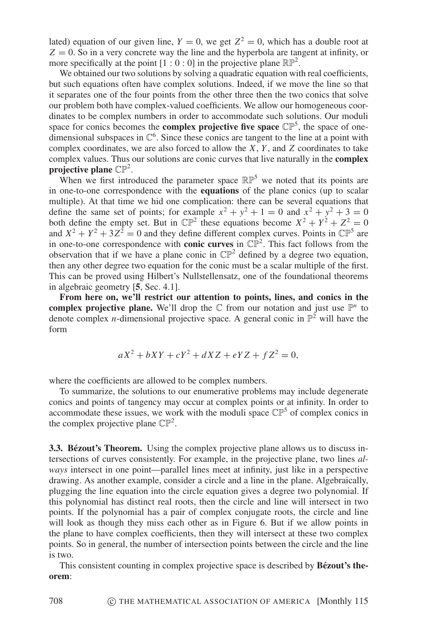lated) equation of our given line,  $Y = 0$ , we get  $Z^2 = 0$ , which has a double root at  $Z = 0$ . So in a very concrete way the line and the hyperbola are tangent at infinity, or more specifically at the point  $[1:0:0]$  in the projective plane  $\mathbb{RP}^2$ .

We obtained our two solutions by solving a quadratic equation with real coefficients, but such equations often have complex solutions. Indeed, if we move the line so that it separates one of the four points from the other three then the two conics that solve our problem both have complex-valued coefficients. We allow our homogeneous coordinates to be complex numbers in order to accommodate such solutions. Our moduli space for conics becomes the **complex projective five space**  $\mathbb{CP}^5$ , the space of onedimensional subspaces in  $\mathbb{C}^6$ . Since these conics are tangent to the line at a point with complex coordinates, we are also forced to allow the  $X, Y$ , and Z coordinates to take complex values. Thus our solutions are conic curves that live naturally in the **complex** projective plane  $\mathbb{CP}^2$ .

When we first introduced the parameter space  $\mathbb{RP}^5$  we noted that its points are in one-to-one correspondence with the **equations** of the plane conics (up to scalar multiple). At that time we hid one complication: there can be several equations that define the same set of points; for example  $x^2 + y^2 + 1 = 0$  and  $x^2 + y^2 + 3 = 0$ both define the empty set. But in  $\mathbb{CP}^2$  these equations become  $X^2 + Y^2 + Z^2 = 0$ and  $X^2 + Y^2 + 3Z^2 = 0$  and they define different complex curves. Points in  $\mathbb{CP}^5$  are in one-to-one correspondence with **conic curves** in  $\mathbb{CP}^2$ . This fact follows from the observation that if we have a plane conic in  $\mathbb{CP}^2$  defined by a degree two equation, then any other degree two equation for the conic must be a scalar multiple of the first. This can be proved using Hilbert's Nullstellensatz, one of the foundational theorems in algebraic geometry [5, Sec. 4.1].

From here on, we'll restrict our attention to points, lines, and conics in the complex projective plane. We'll drop the  $\mathbb C$  from our notation and just use  $\mathbb P^n$  to denote complex *n*-dimensional projective space. A general conic in  $\mathbb{P}^2$  will have the form

$$
aX^2 + bXY + cY^2 + dXZ + eYZ + fZ^2 = 0,
$$

where the coefficients are allowed to be complex numbers.

To summarize, the solutions to our enumerative problems may include degenerate conics and points of tangency may occur at complex points or at infinity. In order to accommodate these issues, we work with the moduli space  $\mathbb{CP}^5$  of complex conics in the complex projective plane  $\mathbb{CP}^2$ .

3.3. Bézout's Theorem. Using the complex projective plane allows us to discuss intersections of curves consistently. For example, in the projective plane, two lines always intersect in one point—parallel lines meet at infinity, just like in a perspective drawing. As another example, consider a circle and a line in the plane. Algebraically, plugging the line equation into the circle equation gives a degree two polynomial. If this polynomial has distinct real roots, then the circle and line will intersect in two points. If the polynomial has a pair of complex conjugate roots, the circle and line will look as though they miss each other as in Figure 6. But if we allow points in the plane to have complex coefficients, then they will intersect at these two complex points. So in general, the number of intersection points between the circle and the line is two.

This consistent counting in complex projective space is described by Bézout's theorem:

708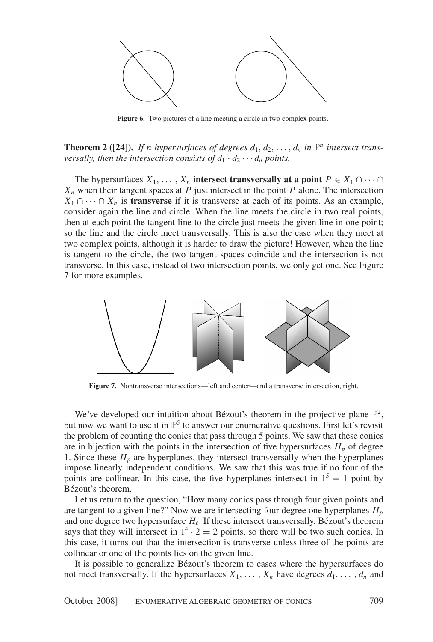

Figure 6. Two pictures of a line meeting a circle in two complex points.

**Theorem 2 ([24]).** If n hypersurfaces of degrees  $d_1, d_2, ..., d_n$  in  $\mathbb{P}^n$  intersect transversally, then the intersection consists of  $d_1 \cdot d_2 \cdots d_n$  points.

The hypersurfaces  $X_1, \ldots, X_n$  intersect transversally at a point  $P \in X_1 \cap \cdots \cap$  $X_n$  when their tangent spaces at P just intersect in the point P alone. The intersection  $X_1 \cap \cdots \cap X_n$  is **transverse** if it is transverse at each of its points. As an example, consider again the line and circle. When the line meets the circle in two real points, then at each point the tangent line to the circle just meets the given line in one point; so the line and the circle meet transversally. This is also the case when they meet at two complex points, although it is harder to draw the picture! However, when the line is tangent to the circle, the two tangent spaces coincide and the intersection is not transverse. In this case, instead of two intersection points, we only get one. See Figure 7 for more examples.



Figure 7. Nontransverse intersections—left and center—and a transverse intersection, right.

We've developed our intuition about Bézout's theorem in the projective plane  $\mathbb{P}^2$ , but now we want to use it in  $\mathbb{P}^5$  to answer our enumerative questions. First let's revisit the problem of counting the conics that pass through 5 points. We saw that these conics are in bijection with the points in the intersection of five hypersurfaces  $H_p$  of degree 1. Since these  $H_p$  are hyperplanes, they intersect transversally when the hyperplanes impose linearly independent conditions. We saw that this was true if no four of the points are collinear. In this case, the five hyperplanes intersect in  $1^5 = 1$  point by Bézout's theorem.

Let us return to the question, "How many conics pass through four given points and are tangent to a given line?" Now we are intersecting four degree one hyperplanes  $H_p$ and one degree two hypersurface  $H_{\ell}$ . If these intersect transversally, Bézout's theorem says that they will intersect in  $1^4 \cdot 2 = 2$  points, so there will be two such conics. In this case, it turns out that the intersection is transverse unless three of the points are collinear or one of the points lies on the given line.

It is possible to generalize Bézout's theorem to cases where the hypersurfaces do not meet transversally. If the hypersurfaces  $X_1, \ldots, X_n$  have degrees  $d_1, \ldots, d_n$  and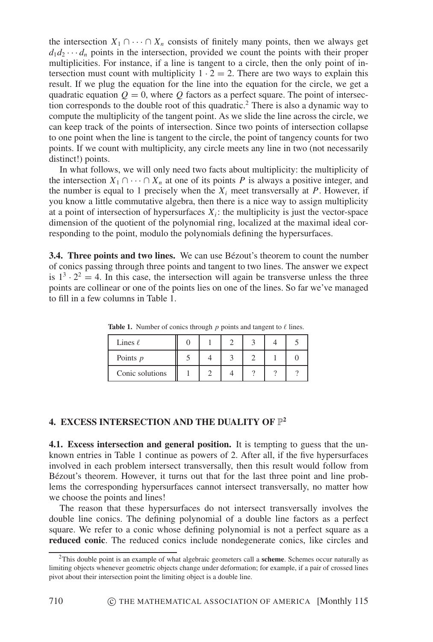the intersection  $X_1 \cap \cdots \cap X_n$  consists of finitely many points, then we always get  $d_1 d_2 \cdots d_n$  points in the intersection, provided we count the points with their proper multiplicities. For instance, if a line is tangent to a circle, then the only point of intersection must count with multiplicity  $1 \cdot 2 = 2$ . There are two ways to explain this result. If we plug the equation for the line into the equation for the circle, we get a quadratic equation  $Q = 0$ , where Q factors as a perfect square. The point of intersection corresponds to the double root of this quadratic.<sup>2</sup> There is also a dynamic way to compute the multiplicity of the tangent point. As we slide the line across the circle, we can keep track of the points of intersection. Since two points of intersection collapse to one point when the line is tangent to the circle, the point of tangency counts for two points. If we count with multiplicity, any circle meets any line in two (not necessarily distinct!) points.

In what follows, we will only need two facts about multiplicity: the multiplicity of the intersection  $X_1 \cap \cdots \cap X_n$  at one of its points P is always a positive integer, and the number is equal to 1 precisely when the  $X_i$  meet transversally at P. However, if you know a little commutative algebra, then there is a nice way to assign multiplicity at a point of intersection of hypersurfaces  $X_i$ ; the multiplicity is just the vector-space dimension of the quotient of the polynomial ring, localized at the maximal ideal corresponding to the point, modulo the polynomials defining the hypersurfaces.

**3.4. Three points and two lines.** We can use Bézout's theorem to count the number of conics passing through three points and tangent to two lines. The answer we expect is  $1^3 \cdot 2^2 = 4$ . In this case, the intersection will again be transverse unless the three points are collinear or one of the points lies on one of the lines. So far we've managed to fill in a few columns in Table 1.

| Lines $\ell$    |  |  |  |
|-----------------|--|--|--|
| Points $p$      |  |  |  |
| Conic solutions |  |  |  |

**Table 1.** Number of conics through  $p$  points and tangent to  $\ell$  lines.

### 4. EXCESS INTERSECTION AND THE DUALITY OF  $\mathbb{P}^2$

4.1. Excess intersection and general position. It is tempting to guess that the unknown entries in Table 1 continue as powers of 2. After all, if the five hypersurfaces involved in each problem intersect transversally, then this result would follow from Bézout's theorem. However, it turns out that for the last three point and line problems the corresponding hypersurfaces cannot intersect transversally, no matter how we choose the points and lines!

The reason that these hypersurfaces do not intersect transversally involves the double line conics. The defining polynomial of a double line factors as a perfect square. We refer to a conic whose defining polynomial is not a perfect square as a reduced conic. The reduced conics include nondegenerate conics, like circles and

 $2$ This double point is an example of what algebraic geometers call a **scheme**. Schemes occur naturally as limiting objects whenever geometric objects change under deformation; for example, if a pair of crossed lines pivot about their intersection point the limiting object is a double line.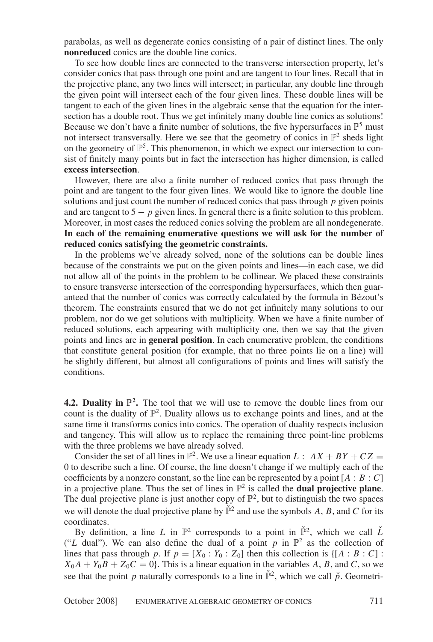parabolas, as well as degenerate conics consisting of a pair of distinct lines. The only **nonreduced** conics are the double line conics.

To see how double lines are connected to the transverse intersection property, let's consider conics that pass through one point and are tangent to four lines. Recall that in the projective plane, any two lines will intersect; in particular, any double line through the given point will intersect each of the four given lines. These double lines will be tangent to each of the given lines in the algebraic sense that the equation for the intersection has a double root. Thus we get infinitely many double line conics as solutions! Because we don't have a finite number of solutions, the five hypersurfaces in  $\mathbb{P}^5$  must not intersect transversally. Here we see that the geometry of conics in  $\mathbb{P}^2$  sheds light on the geometry of  $\mathbb{P}^5$ . This phenomenon, in which we expect our intersection to consist of finitely many points but in fact the intersection has higher dimension, is called excess intersection.

However, there are also a finite number of reduced conics that pass through the point and are tangent to the four given lines. We would like to ignore the double line solutions and just count the number of reduced conics that pass through  $p$  given points and are tangent to  $5 - p$  given lines. In general there is a finite solution to this problem. Moreover, in most cases the reduced conics solving the problem are all nondegenerate. In each of the remaining enumerative questions we will ask for the number of reduced conics satisfying the geometric constraints.

In the problems we've already solved, none of the solutions can be double lines because of the constraints we put on the given points and lines—in each case, we did not allow all of the points in the problem to be collinear. We placed these constraints to ensure transverse intersection of the corresponding hypersurfaces, which then guaranteed that the number of conics was correctly calculated by the formula in Bézout's theorem. The constraints ensured that we do not get infinitely many solutions to our problem, nor do we get solutions with multiplicity. When we have a finite number of reduced solutions, each appearing with multiplicity one, then we say that the given points and lines are in **general position**. In each enumerative problem, the conditions that constitute general position (for example, that no three points lie on a line) will be slightly different, but almost all configurations of points and lines will satisfy the conditions.

**4.2. Duality in**  $\mathbb{P}^2$ . The tool that we will use to remove the double lines from our count is the duality of  $\mathbb{P}^2$ . Duality allows us to exchange points and lines, and at the same time it transforms conics into conics. The operation of duality respects inclusion and tangency. This will allow us to replace the remaining three point-line problems with the three problems we have already solved.

Consider the set of all lines in  $\mathbb{P}^2$ . We use a linear equation  $L : AX + BY + CZ =$ 0 to describe such a line. Of course, the line doesn't change if we multiply each of the coefficients by a nonzero constant, so the line can be represented by a point  $[A : B : C]$ in a projective plane. Thus the set of lines in  $\mathbb{P}^2$  is called the **dual projective plane**. The dual projective plane is just another copy of  $\mathbb{P}^2$ , but to distinguish the two spaces we will denote the dual projective plane by  $\check{P}^2$  and use the symbols A, B, and C for its coordinates.

By definition, a line L in  $\mathbb{P}^2$  corresponds to a point in  $\check{\mathbb{P}}^2$ , which we call  $\check{L}$ ("L dual"). We can also define the dual of a point p in  $\mathbb{P}^2$  as the collection of lines that pass through p. If  $p = [X_0 : Y_0 : Z_0]$  then this collection is  $\{[A : B : C] :$  $X_0A + Y_0B + Z_0C = 0$ . This is a linear equation in the variables A, B, and C, so we see that the point p naturally corresponds to a line in  $\check{\mathbb{P}}^2$ , which we call  $\check{p}$ . Geometri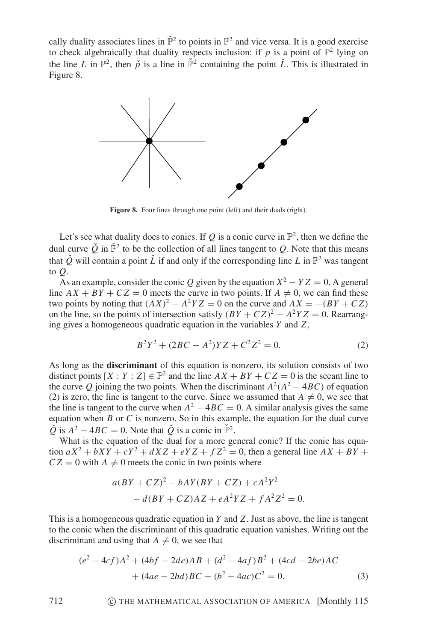cally duality associates lines in  $\check{\mathbb{P}}^2$  to points in  $\mathbb{P}^2$  and vice versa. It is a good exercise to check algebraically that duality respects inclusion: if p is a point of  $\mathbb{P}^2$  lying on the line L in  $\mathbb{P}^2$ , then  $\check{p}$  is a line in  $\check{\mathbb{P}}^2$  containing the point  $\check{L}$ . This is illustrated in Figure 8.



Figure 8. Four lines through one point (left) and their duals (right).

Let's see what duality does to conics. If O is a conic curve in  $\mathbb{P}^2$ , then we define the dual curve  $\check{Q}$  in  $\check{\mathbb{P}}^2$  to be the collection of all lines tangent to Q. Note that this means that  $\check{Q}$  will contain a point  $\check{L}$  if and only if the corresponding line L in  $\mathbb{P}^2$  was tangent to  $Q$ .

As an example, consider the conic Q given by the equation  $X^2 - YZ = 0$ . A general line  $AX + BY + CZ = 0$  meets the curve in two points. If  $A \neq 0$ , we can find these two points by noting that  $(AX)^2 - A^2YZ = 0$  on the curve and  $AX = -(BY + CZ)$ on the line, so the points of intersection satisfy  $(BY + CZ)^2 - A^2YZ = 0$ . Rearranging gives a homogeneous quadratic equation in the variables  $Y$  and  $Z$ ,

$$
B2Y2 + (2BC - A2)YZ + C2Z2 = 0.
$$
 (2)

As long as the **discriminant** of this equation is nonzero, its solution consists of two distinct points  $[X : Y : Z] \in \mathbb{P}^2$  and the line  $AX + BY + CZ = 0$  is the secant line to the curve Q joining the two points. When the discriminant  $A^2(A^2 - 4BC)$  of equation (2) is zero, the line is tangent to the curve. Since we assumed that  $A \neq 0$ , we see that the line is tangent to the curve when  $A^2 - 4BC = 0$ . A similar analysis gives the same equation when  $B$  or  $C$  is nonzero. So in this example, the equation for the dual curve  $\check{Q}$  is  $A^2 - 4BC = 0$ . Note that  $\check{Q}$  is a conic in  $\check{\mathbb{P}}^2$ .

What is the equation of the dual for a more general conic? If the conic has equation  $aX^2 + bXY + cY^2 + dXZ + eYZ + fZ^2 = 0$ , then a general line  $AX + BY +$  $CZ = 0$  with  $A \neq 0$  meets the conic in two points where

$$
a(BY + CZ)^2 - bAY(BY + CZ) + cA^2Y^2
$$

$$
- d(BY + CZ)AZ + eA^2YZ + fA^2Z^2 = 0.
$$

This is a homogeneous quadratic equation in  $Y$  and  $Z$ . Just as above, the line is tangent to the conic when the discriminant of this quadratic equation vanishes. Writing out the discriminant and using that  $A \neq 0$ , we see that

$$
(e2 - 4cf)A2 + (4bf - 2de)AB + (d2 - 4af)B2 + (4cd - 2be)AC + (4ae - 2bd)BC + (b2 - 4ac)C2 = 0.
$$
 (3)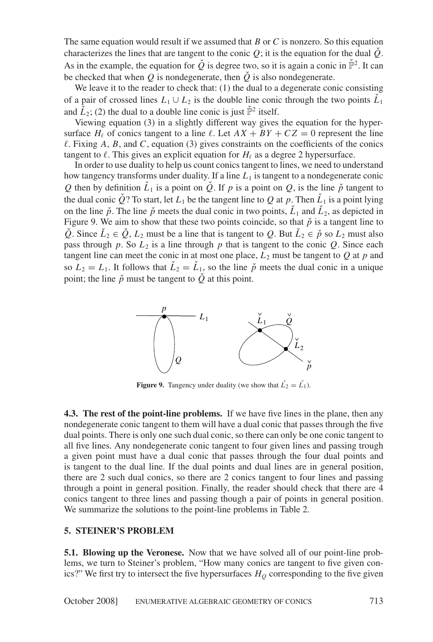The same equation would result if we assumed that  $B$  or  $C$  is nonzero. So this equation characterizes the lines that are tangent to the conic Q; it is the equation for the dual  $\check{Q}$ . As in the example, the equation for  $\check{Q}$  is degree two, so it is again a conic in  $\check{\mathbb{P}}^2$ . It can be checked that when  $Q$  is nondegenerate, then  $\check{O}$  is also nondegenerate.

We leave it to the reader to check that:  $(1)$  the dual to a degenerate conic consisting of a pair of crossed lines  $L_1 \cup L_2$  is the double line conic through the two points  $\check{L}_1$ and  $\check{L}_2$ ; (2) the dual to a double line conic is just  $\check{\mathbb{P}}^2$  itself.

Viewing equation (3) in a slightly different way gives the equation for the hypersurface  $H_{\ell}$  of conics tangent to a line  $\ell$ . Let  $AX + BY + CZ = 0$  represent the line  $\ell$ . Fixing  $\dot{A}$ ,  $B$ , and  $C$ , equation (3) gives constraints on the coefficients of the conics tangent to  $\ell$ . This gives an explicit equation for  $H_{\ell}$  as a degree 2 hypersurface.

In order to use duality to help us count conics tangent to lines, we need to understand how tangency transforms under duality. If a line  $L_1$  is tangent to a nondegenerate conic O then by definition  $\check{L}_1$  is a point on  $\check{O}$ . If p is a point on O, is the line  $\check{p}$  tangent to the dual conic  $\check{Q}$ ? To start, let  $L_1$  be the tangent line to Q at p. Then  $\check{L}_1$  is a point lying on the line  $\check{p}$ . The line  $\check{p}$  meets the dual conic in two points,  $\check{L}_1$  and  $\check{L}_2$ , as depicted in Figure 9. We aim to show that these two points coincide, so that  $\check{p}$  is a tangent line to  $\check{Q}$ . Since  $\check{L}_2 \in \check{Q}$ ,  $L_2$  must be a line that is tangent to Q. But  $\check{L}_2 \in \check{p}$  so  $\check{L}_2$  must also pass through  $p$ . So  $L_2$  is a line through p that is tangent to the conic Q. Since each tangent line can meet the conic in at most one place,  $\overline{L_2}$  must be tangent to Q at p and so  $L_2 = L_1$ . It follows that  $\check{L}_2 = \check{L}_1$ , so the line  $\check{p}$  meets the dual conic in a unique point; the line  $\check{p}$  must be tangent to  $\check{Q}$  at this point.



**Figure 9.** Tangency under duality (we show that  $\check{L_2} = \check{L_1}$ ).

**4.3.** The rest of the point-line problems. If we have five lines in the plane, then any nondegenerate conic tangent to them will have a dual conic that passes through the five dual points. There is only one such dual conic, so there can only be one conic tangent to all five lines. Any nondegenerate conic tangent to four given lines and passing trough a given point must have a dual conic that passes through the four dual points and is tangent to the dual line. If the dual points and dual lines are in general position, there are 2 such dual conics, so there are 2 conics tangent to four lines and passing through a point in general position. Finally, the reader should check that there are 4 conics tangent to three lines and passing though a pair of points in general position. We summarize the solutions to the point-line problems in Table 2.

#### **5. STEINER'S PROBLEM**

**5.1. Blowing up the Veronese.** Now that we have solved all of our point-line problems, we turn to Steiner's problem, "How many conics are tangent to five given conics?" We first try to intersect the five hypersurfaces  $H<sub>0</sub>$  corresponding to the five given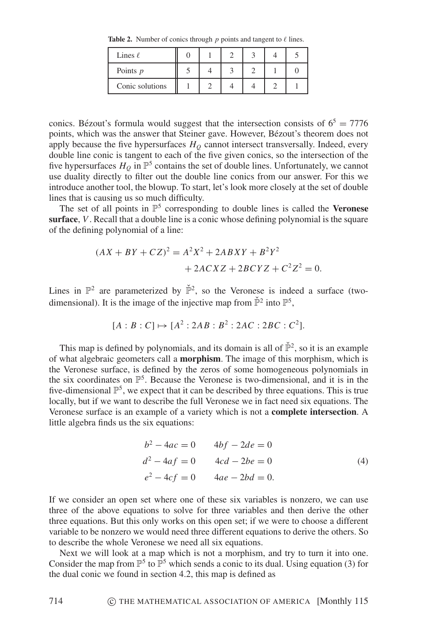| Lines $\ell$    |  |  |  |
|-----------------|--|--|--|
| Points $p$      |  |  |  |
| Conic solutions |  |  |  |

**Table 2.** Number of conics through  $p$  points and tangent to  $\ell$  lines.

conics. Bézout's formula would suggest that the intersection consists of  $6^5 = 7776$ points, which was the answer that Steiner gave. However, Bézout's theorem does not apply because the five hypersurfaces  $H_0$  cannot intersect transversally. Indeed, every double line conic is tangent to each of the five given conics, so the intersection of the<br>five hypersurfaces  $H_Q$  in  $\mathbb{P}^5$  contains the set of double lines. Unfortunately, we cannot use duality directly to filter out the double line conics from our answer. For this we introduce another tool, the blowup. To start, let's look more closely at the set of double lines that is causing us so much difficulty.

The set of all points in  $\mathbb{P}^5$  corresponding to double lines is called the Veronese surface, V. Recall that a double line is a conic whose defining polynomial is the square of the defining polynomial of a line:

$$
(AX + BY + CZ)^2 = A^2X^2 + 2ABXY + B^2Y^2
$$
  
+ 2ACXZ + 2BCYZ + C<sup>2</sup>Z<sup>2</sup> = 0.

Lines in  $\mathbb{P}^2$  are parameterized by  $\check{\mathbb{P}}^2$ , so the Veronese is indeed a surface (twodimensional). It is the image of the injective map from  $\check{\mathbb{P}}^2$  into  $\mathbb{P}^5$ ,

$$
[A : B : C] \mapsto [A^{2} : 2AB : B^{2} : 2AC : 2BC : C^{2}].
$$

This map is defined by polynomials, and its domain is all of  $\check{P}^2$ , so it is an example of what algebraic geometers call a **morphism**. The image of this morphism, which is the Veronese surface, is defined by the zeros of some homogeneous polynomials in the six coordinates on  $\mathbb{P}^5$ . Because the Veronese is two-dimensional, and it is in the five-dimensional  $\mathbb{P}^5$ , we expect that it can be described by three equations. This is true locally, but if we want to describe the full Veronese we in fact need six equations. The Veronese surface is an example of a variety which is not a **complete intersection**. A little algebra finds us the six equations:

$$
b2 - 4ac = 0
$$
  
\n
$$
4bf - 2de = 0
$$
  
\n
$$
d2 - 4af = 0
$$
  
\n
$$
e2 - 4cf = 0
$$
  
\n
$$
4ad - 2be = 0
$$
  
\n
$$
4ae - 2bd = 0.
$$
  
\n(4)

If we consider an open set where one of these six variables is nonzero, we can use three of the above equations to solve for three variables and then derive the other three equations. But this only works on this open set; if we were to choose a different variable to be nonzero we would need three different equations to derive the others. So to describe the whole Veronese we need all six equations.

Next we will look at a map which is not a morphism, and try to turn it into one. Consider the map from  $\mathbb{P}^5$  to  $\mathbb{P}^5$  which sends a conic to its dual. Using equation (3) for the dual conic we found in section 4.2, this map is defined as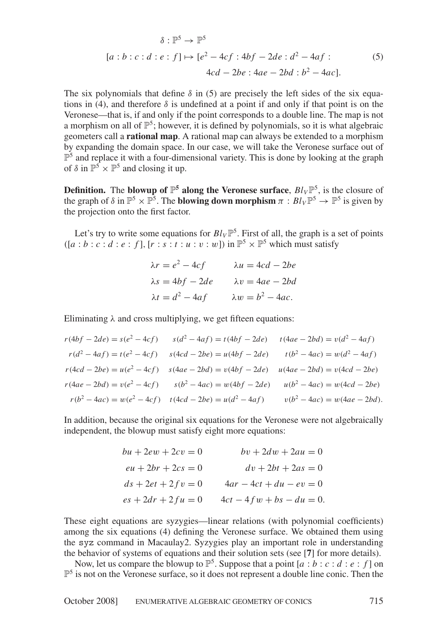$$
\delta: \mathbb{P}^5 \to \mathbb{P}^5
$$
  
[*a* : *b* : *c* : *d* : *e* : *f*]  $\mapsto [e^2 - 4cf : 4bf - 2de : d^2 - 4af :$   

$$
4cd - 2be : 4ae - 2bd : b^2 - 4ac].
$$
 (5)

The six polynomials that define  $\delta$  in (5) are precisely the left sides of the six equations in (4), and therefore  $\delta$  is undefined at a point if and only if that point is on the Veronese—that is, if and only if the point corresponds to a double line. The map is not a morphism on all of  $\mathbb{P}^5$ ; however, it is defined by polynomials, so it is what algebraic geometers call a **rational map**. A rational map can always be extended to a morphism by expanding the domain space. In our case, we will take the Veronese surface out of  $\mathbb{P}^5$  and replace it with a four-dimensional variety. This is done by looking at the graph of  $\delta$  in  $\mathbb{P}^5 \times \mathbb{P}^5$  and closing it up.

**Definition.** The **blowup of**  $\mathbb{P}^5$  **along the Veronese surface**,  $Bl_V \mathbb{P}^5$ , is the closure of the graph of  $\delta$  in  $\mathbb{P}^5 \times \mathbb{P}^5$ . The **blowing down morphism**  $\pi : Bl_V \mathbb{P}^5 \to \mathbb{P}^5$  is given by the projection onto the first factor.

Let's try to write some equations for  $Bl_V \mathbb{P}^5$ . First of all, the graph is a set of points  $(a:b:c:d:e: f$ ], [ $r:s:t:u:v:w$ ]) in  $\mathbb{P}^5 \times \mathbb{P}^5$  which must satisfy

| $\lambda r = e^2 - 4cf$ | $\lambda u = 4cd - 2be$   |
|-------------------------|---------------------------|
| $\lambda s = 4bf - 2de$ | $\lambda v = 4ae - 2bd$   |
| $\lambda t = d^2 - 4af$ | $\lambda w = b^2 - 4ac$ . |

Eliminating  $\lambda$  and cross multiplying, we get fifteen equations:

$$
r(4bf - 2de) = s(e^2 - 4cf) \t s(d^2 - 4af) = t(4bf - 2de) \t t(4ae - 2bd) = v(d^2 - 4af)
$$
  
\n
$$
r(d^2 - 4af) = t(e^2 - 4cf) \t s(4cd - 2be) = u(4bf - 2de) \t t(b^2 - 4ac) = w(d^2 - 4af)
$$
  
\n
$$
r(4cd - 2be) = u(e^2 - 4cf) \t s(4ae - 2bd) = v(4bf - 2de) \t u(4ae - 2bd) = v(4cd - 2be)
$$
  
\n
$$
r(4ae - 2bd) = v(e^2 - 4cf) \t s(b^2 - 4ac) = w(4bf - 2de) \t u(b^2 - 4ac) = w(4cd - 2be)
$$
  
\n
$$
r(b^2 - 4ac) = w(e^2 - 4cf) \t t(4cd - 2be) = u(d^2 - 4af) \t v(b^2 - 4ac) = w(4ae - 2bd).
$$

In addition, because the original six equations for the Veronese were not algebraically independent, the blowup must satisfy eight more equations:

| $bv + 2dw + 2au = 0$       | $bu + 2ew + 2cv = 0$ |
|----------------------------|----------------------|
| $dv + 2bt + 2as = 0$       | $eu + 2br + 2cs = 0$ |
| $4ar - 4ct + du - ev = 0$  | $ds + 2et + 2fv = 0$ |
| $4ct - 4fw + bs - du = 0.$ | $es + 2dr + 2fu = 0$ |

These eight equations are syzygies-linear relations (with polynomial coefficients) among the six equations  $(4)$  defining the Veronese surface. We obtained them using the syz command in Macaulay2. Syzygies play an important role in understanding the behavior of systems of equations and their solution sets (see [7] for more details).

Now, let us compare the blowup to  $\mathbb{P}^5$ . Suppose that a point  $[a : b : c : d : e : f]$  on  $\mathbb{P}^5$  is not on the Veronese surface, so it does not represent a double line conic. Then the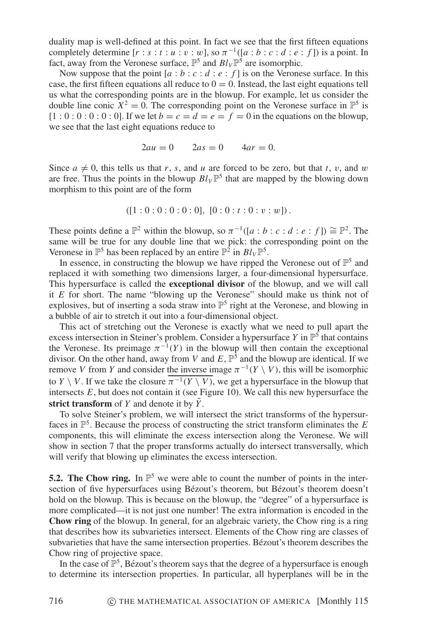duality map is well-defined at this point. In fact we see that the first fifteen equations completely determine  $[r : s : t : u : v : w]$ , so  $\pi^{-1}([a : b : c : d : e : f])$  is a point. In fact, away from the Veronese surface,  $\mathbb{P}^5$  and  $Bl_V \mathbb{P}^5$  are isomorphic.

Now suppose that the point  $[a:b:c:d:e:f]$  is on the Veronese surface. In this case, the first fifteen equations all reduce to  $0 = 0$ . Instead, the last eight equations tell us what the corresponding points are in the blowup. For example, let us consider the double line conic  $X^2 = 0$ . The corresponding point on the Veronese surface in  $\mathbb{P}^5$  is  $[1:0:0:0:0:0]$ . If we let  $b = c = d = e = f = 0$  in the equations on the blowup, we see that the last eight equations reduce to

$$
2au = 0 \qquad 2as = 0 \qquad 4ar = 0
$$

Since  $a \neq 0$ , this tells us that r, s, and u are forced to be zero, but that t, v, and w are free. Thus the points in the blowup  $Bl_V \mathbb{P}^5$  that are mapped by the blowing down morphism to this point are of the form

$$
([1:0:0:0:0:0], [0:0:t:0:v:w]).
$$

These points define a  $\mathbb{P}^2$  within the blowup, so  $\pi^{-1}([a:b:c:d:e:f]) \cong \mathbb{P}^2$ . The same will be true for any double line that we pick: the corresponding point on the Veronese in  $\mathbb{P}^5$  has been replaced by an entire  $\mathbb{P}^2$  in  $Bl_V \mathbb{P}^5$ .

In essence, in constructing the blowup we have ripped the Veronese out of  $\mathbb{P}^5$  and replaced it with something two dimensions larger, a four-dimensional hypersurface. This hypersurface is called the **exceptional divisor** of the blowup, and we will call it  $E$  for short. The name "blowing up the Veronese" should make us think not of explosives, but of inserting a soda straw into  $\mathbb{P}^5$  right at the Veronese, and blowing in a bubble of air to stretch it out into a four-dimensional object.

This act of stretching out the Veronese is exactly what we need to pull apart the excess intersection in Steiner's problem. Consider a hypersurface Y in  $\mathbb{P}^5$  that contains the Veronese. Its preimage  $\pi^{-1}(Y)$  in the blowup will then contain the exceptional divisor. On the other hand, away from V and E,  $\mathbb{P}^{\frac{1}{5}}$  and the blowup are identical. If we remove V from Y and consider the inverse image  $\pi^{-1}(Y \setminus V)$ , this will be isomorphic to  $Y \setminus V$ . If we take the closure  $\overline{\pi^{-1}(Y \setminus V)}$ , we get a hypersurface in the blowup that intersects  $E$ , but does not contain it (see Figure 10). We call this new hypersurface the strict transform of Y and denote it by  $\tilde{Y}$ .

To solve Steiner's problem, we will intersect the strict transforms of the hypersurfaces in  $\mathbb{P}^5$ . Because the process of constructing the strict transform eliminates the E components, this will eliminate the excess intersection along the Veronese. We will show in section 7 that the proper transforms actually do intersect transversally, which will verify that blowing up eliminates the excess intersection.

**5.2. The Chow ring.** In  $\mathbb{P}^5$  we were able to count the number of points in the intersection of five hypersurfaces using Bézout's theorem, but Bézout's theorem doesn't hold on the blowup. This is because on the blowup, the "degree" of a hypersurface is more complicated—it is not just one number! The extra information is encoded in the Chow ring of the blowup. In general, for an algebraic variety, the Chow ring is a ring that describes how its subvarieties intersect. Elements of the Chow ring are classes of subvarieties that have the same intersection properties. Bézout's theorem describes the Chow ring of projective space.

In the case of  $\mathbb{P}^5$ , Bézout's theorem says that the degree of a hypersurface is enough to determine its intersection properties. In particular, all hyperplanes will be in the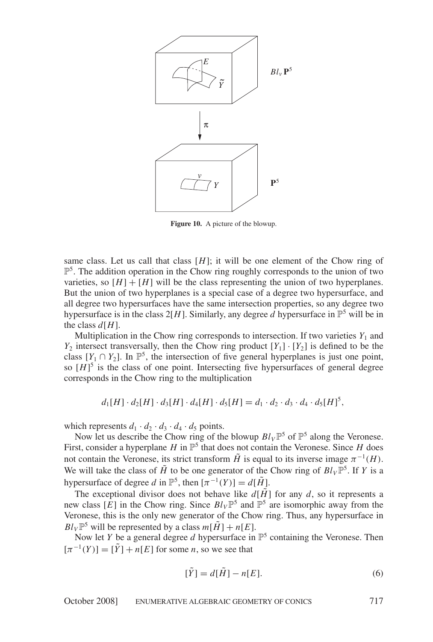

Figure 10. A picture of the blowup.

same class. Let us call that class  $[H]$ ; it will be one element of the Chow ring of  $\mathbb{P}^5$ . The addition operation in the Chow ring roughly corresponds to the union of two varieties, so  $[H] + [H]$  will be the class representing the union of two hyperplanes. But the union of two hyperplanes is a special case of a degree two hypersurface, and all degree two hypersurfaces have the same intersection properties, so any degree two hypersurface is in the class  $2[H]$ . Similarly, any degree d hypersurface in  $\mathbb{P}^5$  will be in the class  $d[H]$ .

Multiplication in the Chow ring corresponds to intersection. If two varieties  $Y_1$  and  $Y_2$  intersect transversally, then the Chow ring product  $[Y_1] \cdot [Y_2]$  is defined to be the class  $[Y_1 \cap Y_2]$ . In  $\mathbb{P}^5$ , the intersection of five general hyperplanes is just one point, so  $[H]$ <sup>5</sup> is the class of one point. Intersecting five hypersurfaces of general degree corresponds in the Chow ring to the multiplication

$$
d_1[H] \cdot d_2[H] \cdot d_3[H] \cdot d_4[H] \cdot d_5[H] = d_1 \cdot d_2 \cdot d_3 \cdot d_4 \cdot d_5[H]^5
$$

which represents  $d_1 \cdot d_2 \cdot d_3 \cdot d_4 \cdot d_5$  points.

Now let us describe the Chow ring of the blowup  $Bl_V \mathbb{P}^5$  of  $\mathbb{P}^5$  along the Veronese. First, consider a hyperplane H in  $\mathbb{P}^5$  that does not contain the Veronese. Since H does not contain the Veronese, its strict transform  $\tilde{H}$  is equal to its inverse image  $\pi^{-1}(H)$ . We will take the class of  $\tilde{H}$  to be one generator of the Chow ring of  $Bl_V\mathbb{P}^5$ . If Y is a hypersurface of degree d in  $\mathbb{P}^5$ , then  $[\pi^{-1}(Y)] = d[\tilde{H}]$ .

The exceptional divisor does not behave like  $d[\tilde{H}]$  for any d, so it represents a new class [E] in the Chow ring. Since  $Bl_V\mathbb{P}^5$  and  $\mathbb{P}^5$  are isomorphic away from the Veronese, this is the only new generator of the Chow ring. Thus, any hypersurface in  $Bl_V \mathbb{P}^5$  will be represented by a class  $m[\tilde{H}] + n[E]$ .

Now let Y be a general degree d hypersurface in  $\mathbb{P}^5$  containing the Veronese. Then  $[\pi^{-1}(Y)] = [\tilde{Y}] + n[E]$  for some *n*, so we see that

$$
[\tilde{Y}] = d[\tilde{H}] - n[E].\tag{6}
$$

717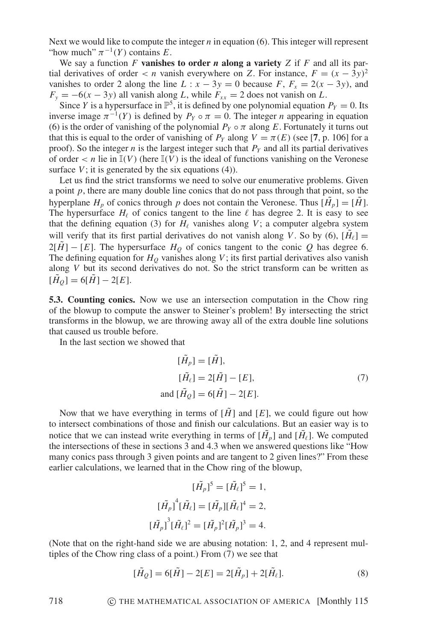Next we would like to compute the integer  $n$  in equation (6). This integer will represent "how much"  $\pi^{-1}(Y)$  contains E.

We say a function  $F$  vanishes to order  $n$  along a variety  $Z$  if  $F$  and all its partial derivatives of order  $\langle n \rangle$  vanish everywhere on Z. For instance,  $F = (x - 3y)^2$ vanishes to order 2 along the line  $L: x - 3y = 0$  because  $F, F_x = 2(x - 3y)$ , and  $F_y = -6(x - 3y)$  all vanish along L, while  $F_{xx} = 2$  does not vanish on L.

Since Y is a hypersurface in  $\mathbb{P}^5$ , it is defined by one polynomial equation  $P_Y = 0$ . Its inverse image  $\pi^{-1}(Y)$  is defined by  $P_Y \circ \pi = 0$ . The integer *n* appearing in equation (6) is the order of vanishing of the polynomial  $P_Y \circ \pi$  along E. Fortunately it turns out that this is equal to the order of vanishing of  $P_Y$  along  $V = \pi(E)$  (see [7, p. 106] for a proof). So the integer  $n$  is the largest integer such that  $P<sub>y</sub>$  and all its partial derivatives of order  $\lt n$  lie in  $\mathbb{I}(V)$  (here  $\mathbb{I}(V)$  is the ideal of functions vanishing on the Veronese surface  $V$ ; it is generated by the six equations (4)).

Let us find the strict transforms we need to solve our enumerative problems. Given a point  $p$ , there are many double line conics that do not pass through that point, so the hyperplane  $H_p$  of conics through p does not contain the Veronese. Thus  $[\tilde{H}_p] = [\tilde{H}]$ . The hypersurface  $H_{\ell}$  of conics tangent to the line  $\ell$  has degree 2. It is easy to see that the defining equation (3) for  $H_{\ell}$  vanishes along V; a computer algebra system will verify that its first partial derivatives do not vanish along V. So by (6),  $[\tilde{H}_{\ell}] =$  $2[\tilde{H}] - [E]$ . The hypersurface  $H_0$  of conics tangent to the conic Q has degree 6. The defining equation for  $H_0$  vanishes along V; its first partial derivatives also vanish along  $V$  but its second derivatives do not. So the strict transform can be written as  $[\hat{H}_0] = 6[\hat{H}] - 2[E].$ 

**5.3. Counting conics.** Now we use an intersection computation in the Chow ring of the blowup to compute the answer to Steiner's problem! By intersecting the strict transforms in the blowup, we are throwing away all of the extra double line solutions that caused us trouble before.

In the last section we showed that

$$
[\tilde{H}_p] = [\tilde{H}],
$$
  
\n
$$
[\tilde{H}_\ell] = 2[\tilde{H}] - [E],
$$
  
\nand 
$$
[\tilde{H}_Q] = 6[\tilde{H}] - 2[E].
$$
\n(7)

Now that we have everything in terms of  $[\tilde{H}]$  and  $[E]$ , we could figure out how to intersect combinations of those and finish our calculations. But an easier way is to notice that we can instead write everything in terms of  $[\tilde{H}_p]$  and  $[\tilde{H}_\ell]$ . We computed the intersections of these in sections 3 and 4.3 when we answered questions like "How many conics pass through 3 given points and are tangent to 2 given lines?" From these earlier calculations, we learned that in the Chow ring of the blowup,

$$
[\tilde{H}_p]^5 = [\tilde{H}_\ell]^5 = 1,
$$
  
\n
$$
[\tilde{H}_p]^4 [\tilde{H}_\ell] = [\tilde{H}_p][\tilde{H}_\ell]^4 = 2,
$$
  
\n
$$
[\tilde{H}_p]^3 [\tilde{H}_\ell]^2 = [\tilde{H}_p]^2 [\tilde{H}_p]^3 = 4.
$$

(Note that on the right-hand side we are abusing notation: 1, 2, and 4 represent multiples of the Chow ring class of a point.) From (7) we see that

$$
[\tilde{H}_O] = 6[\tilde{H}] - 2[E] = 2[\tilde{H}_p] + 2[\tilde{H}_\ell].\tag{8}
$$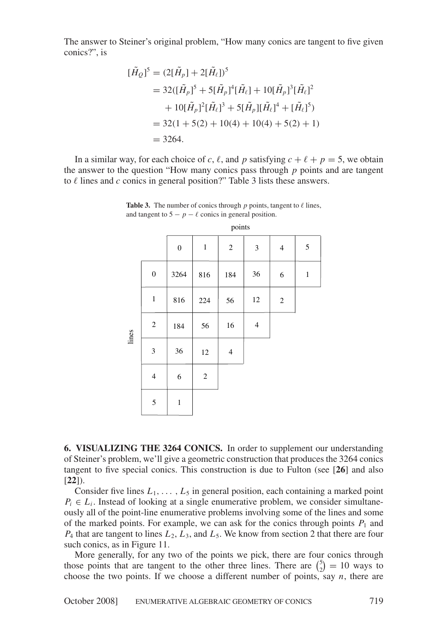The answer to Steiner's original problem, "How many conics are tangent to five given conics?". is

$$
[\tilde{H}_Q]^5 = (2[\tilde{H}_p] + 2[\tilde{H}_\ell])^5
$$
  
= 32([\tilde{H}\_p]^5 + 5[\tilde{H}\_p]^4[\tilde{H}\_\ell] + 10[\tilde{H}\_p]^3[\tilde{H}\_\ell]^2  
+ 10[\tilde{H}\_p]^2[\tilde{H}\_\ell]^3 + 5[\tilde{H}\_p][\tilde{H}\_\ell]^4 + [\tilde{H}\_\ell]^5)  
= 32(1 + 5(2) + 10(4) + 10(4) + 5(2) + 1)  
= 3264.

In a similar way, for each choice of c,  $\ell$ , and p satisfying  $c + \ell + p = 5$ , we obtain the answer to the question "How many conics pass through  $p$  points and are tangent to  $\ell$  lines and c conics in general position?" Table 3 lists these answers.

|       |                  | points           |            |                |                |                  |       |  |
|-------|------------------|------------------|------------|----------------|----------------|------------------|-------|--|
|       |                  | $\boldsymbol{0}$ | $\,1\,$    | $\sqrt{2}$     | $\mathfrak{Z}$ | $\overline{4}$   | 5     |  |
|       | $\boldsymbol{0}$ | 3264             | 816        | 184            | 36             | $\boldsymbol{6}$ | $\,1$ |  |
|       | $\,1\,$          | 816              | 224        | 56             | 12             | $\sqrt{2}$       |       |  |
| lines | $\sqrt{2}$       | 184              | 56         | 16             | $\overline{4}$ |                  |       |  |
|       | $\mathfrak{Z}$   | $36\,$           | 12         | $\overline{4}$ |                |                  |       |  |
|       | $\overline{4}$   | 6                | $\sqrt{2}$ |                |                |                  |       |  |
|       | 5                | $\mathbf{1}$     |            |                |                |                  |       |  |

**Table 3.** The number of conics through  $p$  points, tangent to  $\ell$  lines, and tangent to  $5 - p - \ell$  conics in general position.

6. VISUALIZING THE 3264 CONICS. In order to supplement our understanding of Steiner's problem, we'll give a geometric construction that produces the 3264 conics tangent to five special conics. This construction is due to Fulton (see [26] and also  $[22]$ ).

Consider five lines  $L_1, \ldots, L_5$  in general position, each containing a marked point  $P_i \in L_i$ . Instead of looking at a single enumerative problem, we consider simultaneously all of the point-line enumerative problems involving some of the lines and some of the marked points. For example, we can ask for the conics through points  $P_1$  and  $P_4$  that are tangent to lines  $L_2$ ,  $\overline{L_3}$ , and  $\overline{L_5}$ . We know from section 2 that there are four such conics, as in Figure 11.

More generally, for any two of the points we pick, there are four conics through those points that are tangent to the other three lines. There are  $\binom{5}{2} = 10$  ways to choose the two points. If we choose a different number of points, say  $n$ , there are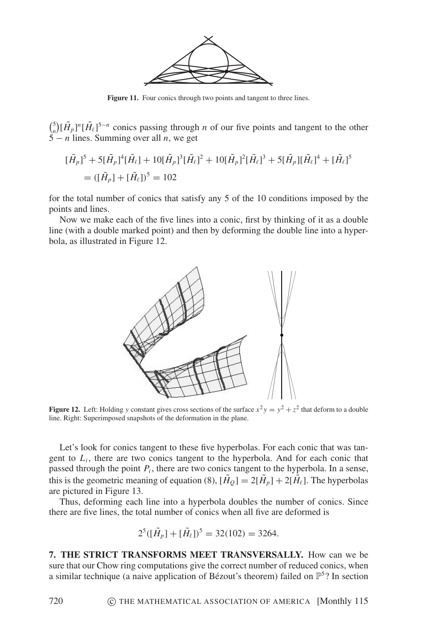

Figure 11. Four conics through two points and tangent to three lines.

 $\binom{5}{0} [\tilde{H}_n]^n [\tilde{H}_\ell]^{5-n}$  conics passing through *n* of our five points and tangent to the other  $5 - n$  lines. Summing over all *n*, we get

$$
\begin{aligned} [\tilde{H}_p]^5 + 5[\tilde{H}_p]^4 [\tilde{H}_\ell] + 10[\tilde{H}_p]^3 [\tilde{H}_\ell]^2 + 10[\tilde{H}_p]^2 [\tilde{H}_\ell]^3 + 5[\tilde{H}_p][\tilde{H}_\ell]^4 + [\tilde{H}_\ell]^5 \\ &= ([\tilde{H}_p] + [\tilde{H}_\ell])^5 = 102 \end{aligned}
$$

for the total number of conics that satisfy any 5 of the 10 conditions imposed by the points and lines.

Now we make each of the five lines into a conic, first by thinking of it as a double line (with a double marked point) and then by deforming the double line into a hyperbola, as illustrated in Figure 12.



**Figure 12.** Left: Holding y constant gives cross sections of the surface  $x^2y = y^2 + z^2$  that deform to a double line. Right: Superimposed snapshots of the deformation in the plane.

Let's look for conics tangent to these five hyperbolas. For each conic that was tangent to  $L_i$ , there are two conics tangent to the hyperbola. And for each conic that passed through the point  $P_i$ , there are two conics tangent to the hyperbola. In a sense, this is the geometric meaning of equation (8),  $[\tilde{H}_0] = 2[\tilde{H}_n] + 2[\tilde{H}_\ell]$ . The hyperbolas are pictured in Figure 13.

Thus, deforming each line into a hyperbola doubles the number of conics. Since there are five lines, the total number of conics when all five are deformed is

$$
2^{5}([\tilde{H}_p] + [\tilde{H}_\ell])^5 = 32(102) = 3264.
$$

7. THE STRICT TRANSFORMS MEET TRANSVERSALLY. How can we be sure that our Chow ring computations give the correct number of reduced conics, when a similar technique (a naive application of Bézout's theorem) failed on  $\mathbb{P}^5$ ? In section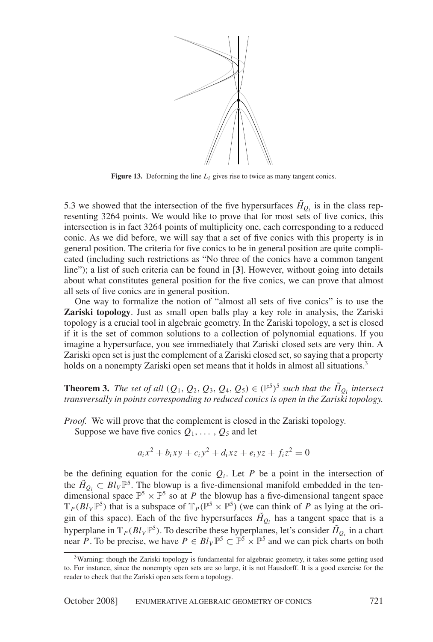

**Figure 13.** Deforming the line  $L_i$  gives rise to twice as many tangent conics.

5.3 we showed that the intersection of the five hypersurfaces  $H_0$  is in the class representing 3264 points. We would like to prove that for most sets of five conics, this intersection is in fact 3264 points of multiplicity one, each corresponding to a reduced conic. As we did before, we will say that a set of five conics with this property is in general position. The criteria for five conics to be in general position are quite complicated (including such restrictions as "No three of the conics have a common tangent line"); a list of such criteria can be found in [3]. However, without going into details about what constitutes general position for the five conics, we can prove that almost all sets of five conics are in general position.

One way to formalize the notion of "almost all sets of five conics" is to use the Zariski topology. Just as small open balls play a key role in analysis, the Zariski topology is a crucial tool in algebraic geometry. In the Zariski topology, a set is closed if it is the set of common solutions to a collection of polynomial equations. If you imagine a hypersurface, you see immediately that Zariski closed sets are very thin. A Zariski open set is just the complement of a Zariski closed set, so saying that a property holds on a nonempty Zariski open set means that it holds in almost all situations.<sup>3</sup>

**Theorem 3.** The set of all  $(Q_1, Q_2, Q_3, Q_4, Q_5) \in (\mathbb{P}^5)^5$  such that the  $\tilde{H}_{Q_i}$  intersect transversally in points corresponding to reduced conics is open in the Zariski topology.

*Proof.* We will prove that the complement is closed in the Zariski topology.

Suppose we have five conics  $Q_1, \ldots, Q_5$  and let

$$
a_i x^2 + b_i xy + c_i y^2 + d_i xz + e_i yz + f_i z^2 = 0
$$

be the defining equation for the conic  $Q_i$ . Let P be a point in the intersection of the  $\tilde{H}_{Q_i} \subset Bl_V \mathbb{P}^5$ . The blowup is a five-dimensional manifold embedded in the ten-<br>dimensional space  $\mathbb{P}^5 \times \mathbb{P}^5$  so at P the blowup has a five-dimensional tangent space  $\mathbb{T}_P(Bl_V\mathbb{P}^5)$  that is a subspace of  $\mathbb{T}_P(\mathbb{P}^5\times\mathbb{P}^5)$  (we can think of P as lying at the origin of this space). Each of the five hypersurfaces  $H_{O_i}$  has a tangent space that is a hyperplane in  $\mathbb{T}_P(Bl_V\mathbb{P}^5)$ . To describe these hyperplanes, let's consider  $\tilde{H}_{Q_i}$  in a chart near P. To be precise, we have  $P \in Bl_V\mathbb{P}^5 \subset \mathbb{P}^5 \times \mathbb{P}^5$  and we can pick charts on both

 $3$ Warning: though the Zariski topology is fundamental for algebraic geometry, it takes some getting used to. For instance, since the nonempty open sets are so large, it is not Hausdorff. It is a good exercise for the reader to check that the Zariski open sets form a topology.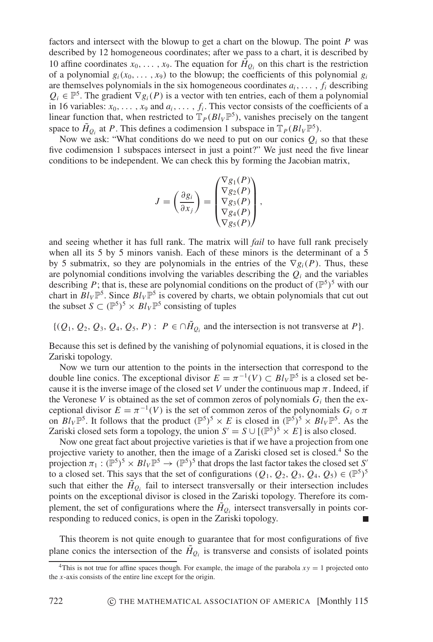factors and intersect with the blowup to get a chart on the blowup. The point  $P$  was described by 12 homogeneous coordinates; after we pass to a chart, it is described by 10 affine coordinates  $x_0, \ldots, x_9$ . The equation for  $H_0$  on this chart is the restriction of a polynomial  $g_i(x_0, \ldots, x_9)$  to the blowup; the coefficients of this polynomial  $g_i$ are themselves polynomials in the six homogeneous coordinates  $a_i, \ldots, f_i$  describing  $Q_i \in \mathbb{P}^5$ . The gradient  $\nabla g_i(P)$  is a vector with ten entries, each of them a polynomial in 16 variables:  $x_0, \ldots, x_9$  and  $a_i, \ldots, f_i$ . This vector consists of the coefficients of a linear function that, when restricted to  $\mathbb{T}_P(Bl_V\mathbb{P}^5)$ , vanishes precisely on the tangent space to  $\tilde{H}_{Q_1}$  at P. This defines a codimension 1 subspace in  $\mathbb{T}_P(Bl_V\mathbb{P}^5)$ .

Now we ask: "What conditions do we need to put on our conics  $Q_i$  so that these five codimension 1 subspaces intersect in just a point?" We just need the five linear conditions to be independent. We can check this by forming the Jacobian matrix,

$$
J = \begin{pmatrix} \frac{\partial g_i}{\partial x_j} \end{pmatrix} = \begin{pmatrix} \nabla g_1(P) \\ \nabla g_2(P) \\ \nabla g_3(P) \\ \nabla g_4(P) \\ \nabla g_5(P) \end{pmatrix},
$$

and seeing whether it has full rank. The matrix will *fail* to have full rank precisely when all its 5 by 5 minors vanish. Each of these minors is the determinant of a 5 by 5 submatrix, so they are polynomials in the entries of the  $\nabla g_i(P)$ . Thus, these are polynomial conditions involving the variables describing the  $\overline{Q}_i$  and the variables describing P; that is, these are polynomial conditions on the product of  $(\mathbb{P}^5)^5$  with our chart in  $\overline{Bl}_V \mathbb{P}^5$ . Since  $Bl_V \mathbb{P}^5$  is covered by charts, we obtain polynomials that cut out the subset  $S \subset (\mathbb{P}^5)^5 \times Bl_V \mathbb{P}^5$  consisting of tuples

 $\{ (Q_1, Q_2, Q_3, Q_4, Q_5, P) : P \in \cap \tilde{H}_{O_i} \text{ and the intersection is not transverse at } P \}.$ 

Because this set is defined by the vanishing of polynomial equations, it is closed in the Zariski topology.

Now we turn our attention to the points in the intersection that correspond to the double line conics. The exceptional divisor  $E = \pi^{-1}(V) \subset Bl_V \mathbb{P}^5$  is a closed set because it is the inverse image of the closed set V under the continuous map  $\pi$ . Indeed, if the Veronese V is obtained as the set of common zeros of polynomials  $G_i$  then the exceptional divisor  $E = \pi^{-1}(V)$  is the set of common zeros of the polynomials  $G_i \circ \pi$ on  $Bl_V \mathbb{P}^5$ . It follows that the product  $(\mathbb{P}^5)^5 \times E$  is closed in  $(\mathbb{P}^5)^5 \times Bl_V \mathbb{P}^5$ . As the Zariski closed sets form a topology, the union  $S' = S \cup [(\mathbb{P}^5)^5 \times E]$  is also closed.

Now one great fact about projective varieties is that if we have a projection from one projective variety to another, then the image of a Zariski closed set is closed.<sup>4</sup> So the projection  $\pi_1 : (\mathbb{P}^5)^5 \times Bl_V \mathbb{P}^5 \to (\mathbb{P}^5)^5$  that drops the last factor takes the closed set S' to a closed set. This says that the set of configurations  $(Q_1, Q_2, Q_3, Q_4, Q_5) \in (\mathbb{P}^5)^5$ such that either the  $\tilde{H}_{O_i}$  fail to intersect transversally or their intersection includes points on the exceptional divisor is closed in the Zariski topology. Therefore its complement, the set of configurations where the  $H_{O_i}$  intersect transversally in points corresponding to reduced conics, is open in the Zariski topology.

This theorem is not quite enough to guarantee that for most configurations of five plane conics the intersection of the  $\tilde{H}_{Q_i}$  is transverse and consists of isolated points

<sup>&</sup>lt;sup>4</sup>This is not true for affine spaces though. For example, the image of the parabola  $xy = 1$  projected onto the  $x$ -axis consists of the entire line except for the origin.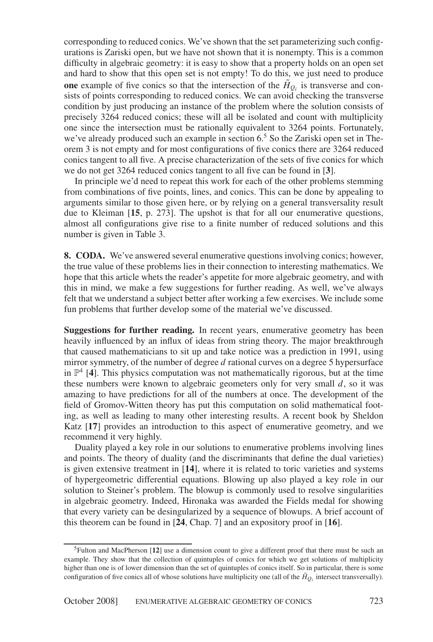corresponding to reduced conics. We've shown that the set parameterizing such configurations is Zariski open, but we have not shown that it is nonempty. This is a common difficulty in algebraic geometry: it is easy to show that a property holds on an open set and hard to show that this open set is not empty! To do this, we just need to produce **one** example of five conics so that the intersection of the  $H_0$  is transverse and consists of points corresponding to reduced conics. We can avoid checking the transverse condition by just producing an instance of the problem where the solution consists of precisely 3264 reduced conics; these will all be isolated and count with multiplicity one since the intersection must be rationally equivalent to 3264 points. Fortunately, we've already produced such an example in section 6.<sup>5</sup> So the Zariski open set in Theorem 3 is not empty and for most configurations of five conics there are 3264 reduced conics tangent to all five. A precise characterization of the sets of five conics for which we do not get 3264 reduced conics tangent to all five can be found in [3].

In principle we'd need to repeat this work for each of the other problems stemming from combinations of five points, lines, and conics. This can be done by appealing to arguments similar to those given here, or by relying on a general transversality result due to Kleiman [15, p. 273]. The upshot is that for all our enumerative questions, almost all configurations give rise to a finite number of reduced solutions and this number is given in Table 3.

**8. CODA.** We've answered several enumerative questions involving conics; however, the true value of these problems lies in their connection to interesting mathematics. We hope that this article whets the reader's appetite for more algebraic geometry, and with this in mind, we make a few suggestions for further reading. As well, we've always felt that we understand a subject better after working a few exercises. We include some fun problems that further develop some of the material we've discussed.

Suggestions for further reading. In recent years, enumerative geometry has been heavily influenced by an influx of ideas from string theory. The major breakthrough that caused mathematicians to sit up and take notice was a prediction in 1991, using mirror symmetry, of the number of degree  $d$  rational curves on a degree 5 hypersurface in  $\mathbb{P}^4$  [4]. This physics computation was not mathematically rigorous, but at the time these numbers were known to algebraic geometers only for very small  $d$ , so it was amazing to have predictions for all of the numbers at once. The development of the field of Gromov-Witten theory has put this computation on solid mathematical footing, as well as leading to many other interesting results. A recent book by Sheldon Katz [17] provides an introduction to this aspect of enumerative geometry, and we recommend it very highly.

Duality played a key role in our solutions to enumerative problems involving lines and points. The theory of duality (and the discriminants that define the dual varieties) is given extensive treatment in [14], where it is related to toric varieties and systems of hypergeometric differential equations. Blowing up also played a key role in our solution to Steiner's problem. The blowup is commonly used to resolve singularities in algebraic geometry. Indeed, Hironaka was awarded the Fields medal for showing that every variety can be desingularized by a sequence of blowups. A brief account of this theorem can be found in  $[24,$  Chap. 7] and an expository proof in  $[16]$ .

<sup>&</sup>lt;sup>5</sup>Fulton and MacPherson [12] use a dimension count to give a different proof that there must be such an example. They show that the collection of quintuples of conics for which we get solutions of multiplicity higher than one is of lower dimension than the set of quintuples of conics itself. So in particular, there is some configuration of five conics all of whose solutions have multiplicity one (all of the  $\tilde{H}_{O_i}$  intersect transversally).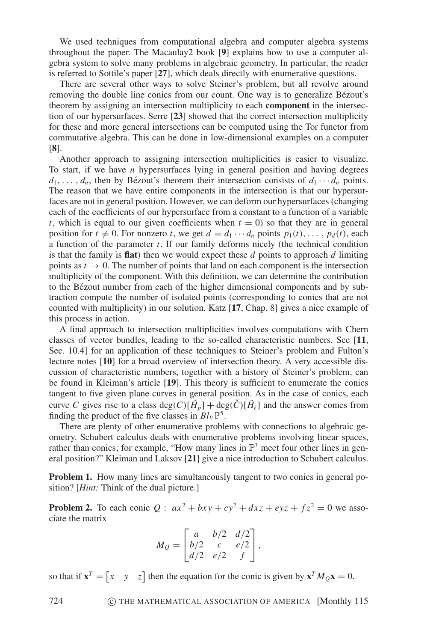We used techniques from computational algebra and computer algebra systems throughout the paper. The Macaulay2 book [9] explains how to use a computer algebra system to solve many problems in algebraic geometry. In particular, the reader is referred to Sottile's paper [27], which deals directly with enumerative questions.

There are several other ways to solve Steiner's problem, but all revolve around removing the double line conics from our count. One way is to generalize Bézout's theorem by assigning an intersection multiplicity to each **component** in the intersection of our hypersurfaces. Serre [23] showed that the correct intersection multiplicity for these and more general intersections can be computed using the Tor functor from commutative algebra. This can be done in low-dimensional examples on a computer  $[8]$ .

Another approach to assigning intersection multiplicities is easier to visualize. To start, if we have *n* hypersurfaces lying in general position and having degrees  $d_1, \ldots, d_n$ , then by Bézout's theorem their intersection consists of  $d_1 \cdots d_n$  points. The reason that we have entire components in the intersection is that our hypersurfaces are not in general position. However, we can deform our hypersurfaces (changing each of the coefficients of our hypersurface from a constant to a function of a variable t, which is equal to our given coefficients when  $t = 0$ ) so that they are in general position for  $t \neq 0$ . For nonzero t, we get  $d = d_1 \cdots d_n$  points  $p_1(t), \ldots, p_d(t)$ , each a function of the parameter  $t$ . If our family deforms nicely (the technical condition is that the family is **flat**) then we would expect these  $d$  points to approach  $d$  limiting points as  $t \to 0$ . The number of points that land on each component is the intersection multiplicity of the component. With this definition, we can determine the contribution to the Bézout number from each of the higher dimensional components and by subtraction compute the number of isolated points (corresponding to conics that are not counted with multiplicity) in our solution. Katz [17, Chap. 8] gives a nice example of this process in action.

A final approach to intersection multiplicities involves computations with Chern classes of vector bundles, leading to the so-called characteristic numbers. See [11, Sec. 10.4] for an application of these techniques to Steiner's problem and Fulton's lecture notes  $[10]$  for a broad overview of intersection theory. A very accessible discussion of characteristic numbers, together with a history of Steiner's problem, can be found in Kleiman's article [19]. This theory is sufficient to enumerate the conics tangent to five given plane curves in general position. As in the case of conics, each curve C gives rise to a class deg(C)[ $\tilde{H}_p$ ] + deg( $\check{C}$ )[ $\tilde{H}_\ell$ ] and the answer comes from finding the product of the five classes in  $Bl_V \mathbb{P}^5$ .

There are plenty of other enumerative problems with connections to algebraic geometry. Schubert calculus deals with enumerative problems involving linear spaces, rather than conics; for example, "How many lines in  $\mathbb{P}^3$  meet four other lines in general position?" Kleiman and Laksov [21] give a nice introduction to Schubert calculus.

**Problem 1.** How many lines are simultaneously tangent to two conics in general position? [*Hint*: Think of the dual picture.]

**Problem 2.** To each conic Q:  $ax^2 + bxy + cy^2 + dxz + eyz + fz^2 = 0$  we associate the matrix

$$
M_Q = \begin{bmatrix} a & b/2 & d/2 \\ b/2 & c & e/2 \\ d/2 & e/2 & f \end{bmatrix},
$$

so that if  $\mathbf{x}^T = \begin{bmatrix} x & y & z \end{bmatrix}$  then the equation for the conic is given by  $\mathbf{x}^T M_Q \mathbf{x} = 0$ .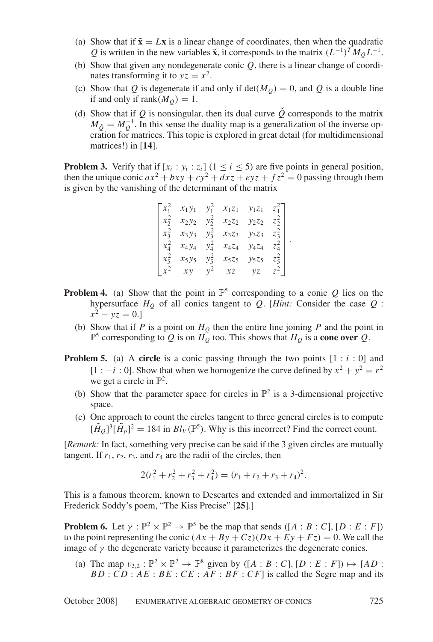- (a) Show that if  $\tilde{\mathbf{x}} = L\mathbf{x}$  is a linear change of coordinates, then when the quadratic Q is written in the new variables  $\tilde{\mathbf{x}}$ , it corresponds to the matrix  $(L^{-1})^T M_0 L^{-1}$ .
- (b) Show that given any nondegenerate conic  $Q$ , there is a linear change of coordinates transforming it to  $yz = x^2$ .
- (c) Show that Q is degenerate if and only if  $det(M<sub>O</sub>) = 0$ , and Q is a double line if and only if  $\text{rank}(M_O) = 1$ .
- (d) Show that if Q is nonsingular, then its dual curve  $\check{Q}$  corresponds to the matrix  $M_{\phi} = M_{\phi}^{-1}$ . In this sense the duality map is a generalization of the inverse operation for matrices. This topic is explored in great detail (for multidimensional matrices!) in  $[14]$ .

**Problem 3.** Verify that if  $[x_i : y_i : z_i]$   $(1 \le i \le 5)$  are five points in general position, then the unique conic  $ax^2 + bxy + cy^2 + dxz + eyz + fz^2 = 0$  passing through them is given by the vanishing of the determinant of the matrix

|              | $\begin{bmatrix} x_1^2 & x_1y_1 & y_1^2 & x_1z_1 & y_1z_1 & z_1^2 \end{bmatrix}$ |         |          |                   |         |
|--------------|----------------------------------------------------------------------------------|---------|----------|-------------------|---------|
|              | $x_2^2$ $x_2y_2$ $y_2^2$ $x_2z_2$                                                |         |          | $y_2z_2$          | $z_2^2$ |
|              | $x_3^2$ $x_3y_3$ $y_3^2$                                                         |         | $x_3z_3$ | $y_3z_3$          | $z_3^2$ |
|              | $x_4^2$ $x_4y_4$                                                                 | $y_4^2$ |          | $x_4z_4$ $y_4z_4$ | $z_4^2$ |
| $\int x_5^2$ | $x_5y_5$                                                                         | $y_5^2$ | $x_5z_5$ | $y_5z_5$          | $z_5^2$ |
| $\int x^2$   | xy                                                                               |         | $y^2$ xz | yz                | $z^2$   |

- **Problem 4.** (a) Show that the point in  $\mathbb{P}^5$  corresponding to a conic Q lies on the hypersurface  $H_Q$  of all conics tangent to Q. [Hint: Consider the case Q:  $x^2 - yz = 0.$ 
	- (b) Show that if  $P$  is a point on  $H<sub>O</sub>$  then the entire line joining  $P$  and the point in  $\mathbb{P}^5$  corresponding to Q is on  $H_0$  too. This shows that  $H_0$  is a **cone over** Q.
- **Problem 5.** (a) A circle is a conic passing through the two points  $[1 : i : 0]$  and  $[1:-i:0]$ . Show that when we homogenize the curve defined by  $x^2 + y^2 = r^2$ we get a circle in  $\mathbb{P}^2$ .
	- (b) Show that the parameter space for circles in  $\mathbb{P}^2$  is a 3-dimensional projective space.
	- (c) One approach to count the circles tangent to three general circles is to compute  $[\tilde{H}_0]^3 [\tilde{H}_n]^2 = 184$  in  $Bl_V(\mathbb{P}^5)$ . Why is this incorrect? Find the correct count.

[Remark: In fact, something very precise can be said if the 3 given circles are mutually tangent. If  $r_1$ ,  $r_2$ ,  $r_3$ , and  $r_4$  are the radii of the circles, then

$$
2(r_1^2 + r_2^2 + r_3^2 + r_4^2) = (r_1 + r_2 + r_3 + r_4)^2.
$$

This is a famous theorem, known to Descartes and extended and immortalized in Sir Frederick Soddy's poem, "The Kiss Precise" [25].]

**Problem 6.** Let  $\gamma : \mathbb{P}^2 \times \mathbb{P}^2 \to \mathbb{P}^5$  be the map that sends  $([A : B : C], [D : E : F])$ to the point representing the conic  $(Ax + By + Cz)(Dx + Ey + Fz) = 0$ . We call the image of  $\gamma$  the degenerate variety because it parameterizes the degenerate conics.

(a) The map  $v_{2,2} : \mathbb{P}^2 \times \mathbb{P}^2 \to \mathbb{P}^8$  given by  $([A : B : C], [D : E : F]) \mapsto [AD :$  $BD : CD : AE : BE : CE : AF : BF : CF$  is called the Segre map and its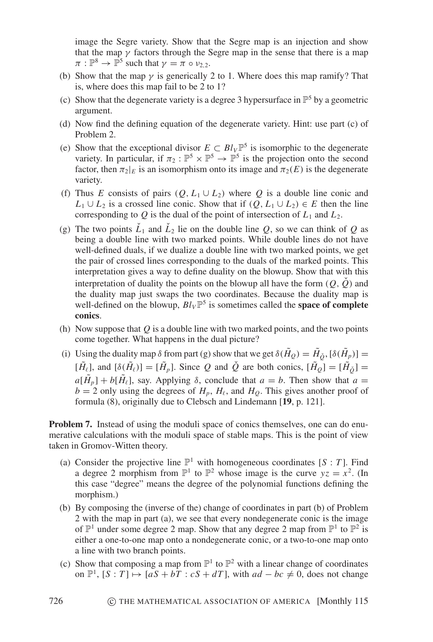image the Segre variety. Show that the Segre map is an injection and show that the map  $\gamma$  factors through the Segre map in the sense that there is a map  $\pi : \mathbb{P}^8 \to \dot{\mathbb{P}^5}$  such that  $\gamma = \bar{\pi} \circ \nu_{2,2}$ .

- (b) Show that the map  $\gamma$  is generically 2 to 1. Where does this map ramify? That is, where does this map fail to be 2 to 1?
- (c) Show that the degenerate variety is a degree 3 hypersurface in  $\mathbb{P}^5$  by a geometric argument.
- (d) Now find the defining equation of the degenerate variety. Hint: use part (c) of Problem 2.
- (e) Show that the exceptional divisor  $E \subset Bl_V\mathbb{P}^5$  is isomorphic to the degenerate variety. In particular, if  $\pi_2 : \mathbb{P}^5 \times \mathbb{P}^5 \to \mathbb{P}^5$  is the projection onto the second factor, then  $\pi_2|_F$  is an isomorphism onto its image and  $\pi_2(E)$  is the degenerate variety.
- (f) Thus E consists of pairs  $(Q, L_1 \cup L_2)$  where Q is a double line conic and  $L_1 \cup L_2$  is a crossed line conic. Show that if  $(Q, L_1 \cup L_2) \in E$  then the line corresponding to Q is the dual of the point of intersection of  $L_1$  and  $L_2$ .
- (g) The two points  $\check{L}_1$  and  $\check{L}_2$  lie on the double line Q, so we can think of Q as being a double line with two marked points. While double lines do not have well-defined duals, if we dualize a double line with two marked points, we get the pair of crossed lines corresponding to the duals of the marked points. This interpretation gives a way to define duality on the blowup. Show that with this interpretation of duality the points on the blowup all have the form  $(Q, \dot{Q})$  and the duality map just swaps the two coordinates. Because the duality map is well-defined on the blowup,  $Bl_V \mathbb{P}^5$  is sometimes called the **space of complete** conics.
- (h) Now suppose that  $Q$  is a double line with two marked points, and the two points come together. What happens in the dual picture?
- (i) Using the duality map  $\delta$  from part (g) show that we get  $\delta(\tilde{H}_0) = \tilde{H}_{\delta}$ ,  $[\delta(\tilde{H}_p)] =$  $[\tilde{H}_{\ell}],$  and  $[\delta(\tilde{H}_{\ell})] = [\tilde{H}_{p}].$  Since Q and  $\check{Q}$  are both conics,  $[\tilde{H}_{Q}] = [\tilde{H}_{\check{Q}}] =$  $a[\tilde{H}_p] + b[\tilde{H}_\ell]$ , say. Applying  $\delta$ , conclude that  $a = b$ . Then show that  $a =$  $b = 2$  only using the degrees of  $H_p$ ,  $H_\ell$ , and  $H_o$ . This gives another proof of formula (8), originally due to Clebsch and Lindemann [19, p. 121].

Problem 7. Instead of using the moduli space of conics themselves, one can do enumerative calculations with the moduli space of stable maps. This is the point of view taken in Gromov-Witten theory.

- (a) Consider the projective line  $\mathbb{P}^1$  with homogeneous coordinates [S : T]. Find a degree 2 morphism from  $\mathbb{P}^1$  to  $\mathbb{P}^2$  whose image is the curve  $yz = x^2$ . (In this case "degree" means the degree of the polynomial functions defining the morphism.)
- (b) By composing the (inverse of the) change of coordinates in part (b) of Problem 2 with the map in part (a), we see that every nondegenerate conic is the image of  $\mathbb{P}^1$  under some degree 2 map. Show that any degree 2 map from  $\mathbb{P}^1$  to  $\mathbb{P}^2$  is either a one-to-one map onto a nondegenerate conic, or a two-to-one map onto a line with two branch points.
- (c) Show that composing a map from  $\mathbb{P}^1$  to  $\mathbb{P}^2$  with a linear change of coordinates on  $\mathbb{P}^1$ ,  $[S: T] \mapsto [aS + bT : cS + dT]$ , with  $ad - bc \neq 0$ , does not change

726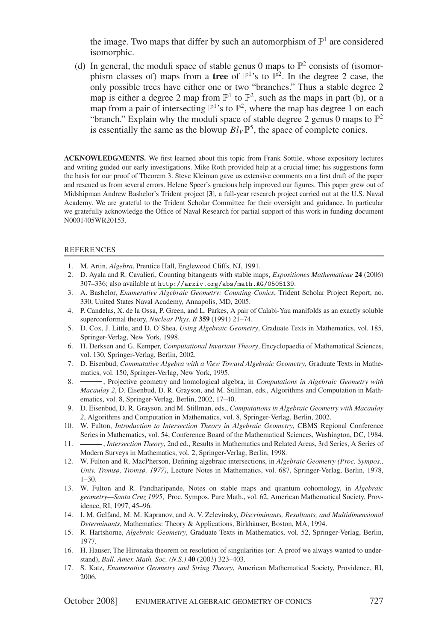the image. Two maps that differ by such an automorphism of  $\mathbb{P}^1$  are considered isomorphic.

(d) In general, the moduli space of stable genus 0 maps to  $\mathbb{P}^2$  consists of (isomorphism classes of) maps from a **tree** of  $\mathbb{P}^1$ 's to  $\mathbb{P}^2$ . In the degree 2 case, the only possible trees have either one or two "branches." Thus a stable degree 2 map is either a degree 2 map from  $\mathbb{P}^1$  to  $\mathbb{P}^2$ , such as the maps in part (b), or a map from a pair of intersecting  $\mathbb{P}^1$ 's to  $\mathbb{P}^2$ , where the map has degree 1 on each "branch." Explain why the moduli space of stable degree 2 genus 0 maps to  $\mathbb{P}^2$ is essentially the same as the blowup  $Bl_V \mathbb{P}^5$ , the space of complete conics.

**ACKNOWLEDGMENTS.** We first learned about this topic from Frank Sottile, whose expository lectures and writing guided our early investigations. Mike Roth provided help at a crucial time; his suggestions form the basis for our proof of Theorem 3. Steve Kleiman gave us extensive comments on a first draft of the paper and rescued us from several errors. Helene Speer's gracious help improved our figures. This paper grew out of Midshipman Andrew Bashelor's Trident project [3], a full-year research project carried out at the U.S. Naval Academy. We are grateful to the Trident Scholar Committee for their oversight and guidance. In particular we gratefully acknowledge the Office of Naval Research for partial support of this work in funding document N0001405WR20153.

#### **REFERENCES**

- M. Artin, *Algebra*, Prentice Hall, Englewood Cliffs, NJ, 1991.  $\mathbf{1}$ .
- 2. D. Ayala and R. Cavalieri, Counting bitangents with stable maps, *Expositiones Mathematicae* 24 (2006) 307-336; also available at http://arxiv.org/abs/math.AG/0505139.
- 3. A. Bashelor, *Enumerative Algebraic Geometry: Counting Conics*, Trident Scholar Project Report, no. 330, United States Naval Academy, Annapolis, MD, 2005.
- 4. P. Candelas, X. de la Ossa, P. Green, and L. Parkes, A pair of Calabi-Yau manifolds as an exactly soluble superconformal theory, Nuclear Phys. B 359 (1991) 21-74.
- 5. D. Cox, J. Little, and D. O'Shea, Using Algebraic Geometry, Graduate Texts in Mathematics, vol. 185, Springer-Verlag, New York, 1998.
- 6. H. Derksen and G. Kemper, Computational Invariant Theory, Encyclopaedia of Mathematical Sciences, vol. 130, Springer-Verlag, Berlin, 2002.
- 7. D. Eisenbud, Commutative Algebra with a View Toward Algebraic Geometry, Graduate Texts in Mathematics, vol. 150, Springer-Verlag, New York, 1995.
- 8. -, Projective geometry and homological algebra, in Computations in Algebraic Geometry with Macaulay 2, D. Eisenbud, D. R. Grayson, and M. Stillman, eds., Algorithms and Computation in Mathematics, vol. 8, Springer-Verlag, Berlin, 2002, 17-40.
- 9. D. Eisenbud, D. R. Grayson, and M. Stillman, eds., Computations in Algebraic Geometry with Macaulay 2, Algorithms and Computation in Mathematics, vol. 8, Springer-Verlag, Berlin, 2002.
- 10. W. Fulton, *Introduction to Intersection Theory in Algebraic Geometry*, CBMS Regional Conference Series in Mathematics, vol. 54, Conference Board of the Mathematical Sciences, Washington, DC, 1984.
- -, Intersection Theory, 2nd ed., Results in Mathematics and Related Areas, 3rd Series, A Series of  $11.$ Modern Surveys in Mathematics, vol. 2, Springer-Verlag, Berlin, 1998.
- 12. W. Fulton and R. MacPherson, Defining algebraic intersections, in Algebraic Geometry (Proc. Sympos., Univ. Tromsø, Tromsø, 1977), Lecture Notes in Mathematics, vol. 687, Springer-Verlag, Berlin, 1978,  $1 - 30.$
- 13. W. Fulton and R. Pandharipande, Notes on stable maps and quantum cohomology, in Algebraic geometry-Santa Cruz 1995, Proc. Sympos. Pure Math., vol. 62, American Mathematical Society, Providence, RI, 1997, 45-96.
- 14. I. M. Gelfand, M. M. Kapranov, and A. V. Zelevinsky, Discriminants, Resultants, and Multidimensional Determinants, Mathematics: Theory & Applications, Birkhäuser, Boston, MA, 1994.
- 15. R. Hartshorne, Algebraic Geometry, Graduate Texts in Mathematics, vol. 52, Springer-Verlag, Berlin, 1977.
- 16. H. Hauser, The Hironaka theorem on resolution of singularities (or: A proof we always wanted to understand), Bull. Amer. Math. Soc. (N.S.) 40 (2003) 323-403.
- 17. S. Katz, Enumerative Geometry and String Theory, American Mathematical Society, Providence, RI, 2006.